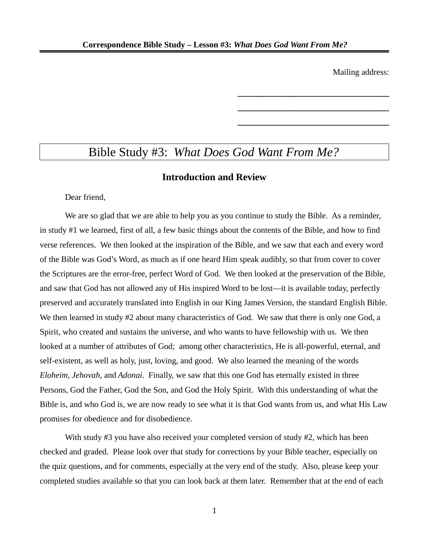Mailing address:

\_\_\_\_\_\_\_\_\_\_\_\_\_\_\_\_\_\_\_\_\_\_\_\_

\_\_\_\_\_\_\_\_\_\_\_\_\_\_\_\_\_\_\_\_\_\_\_\_

\_\_\_\_\_\_\_\_\_\_\_\_\_\_\_\_\_\_\_\_\_\_\_\_

# Bible Study #3: *What Does God Want From Me?*

## **Introduction and Review**

Dear friend,

We are so glad that we are able to help you as you continue to study the Bible. As a reminder, in study #1 we learned, first of all, a few basic things about the contents of the Bible, and how to find verse references. We then looked at the inspiration of the Bible, and we saw that each and every word of the Bible was God's Word, as much as if one heard Him speak audibly, so that from cover to cover the Scriptures are the error-free, perfect Word of God. We then looked at the preservation of the Bible, and saw that God has not allowed any of His inspired Word to be lost—it is available today, perfectly preserved and accurately translated into English in our King James Version, the standard English Bible. We then learned in study #2 about many characteristics of God. We saw that there is only one God, a Spirit, who created and sustains the universe, and who wants to have fellowship with us. We then looked at a number of attributes of God; among other characteristics, He is all-powerful, eternal, and self-existent, as well as holy, just, loving, and good. We also learned the meaning of the words *Eloheim*, *Jehovah*, and *Adonai*. Finally, we saw that this one God has eternally existed in three Persons, God the Father, God the Son, and God the Holy Spirit. With this understanding of what the Bible is, and who God is, we are now ready to see what it is that God wants from us, and what His Law promises for obedience and for disobedience.

With study #3 you have also received your completed version of study #2, which has been checked and graded. Please look over that study for corrections by your Bible teacher, especially on the quiz questions, and for comments, especially at the very end of the study. Also, please keep your completed studies available so that you can look back at them later. Remember that at the end of each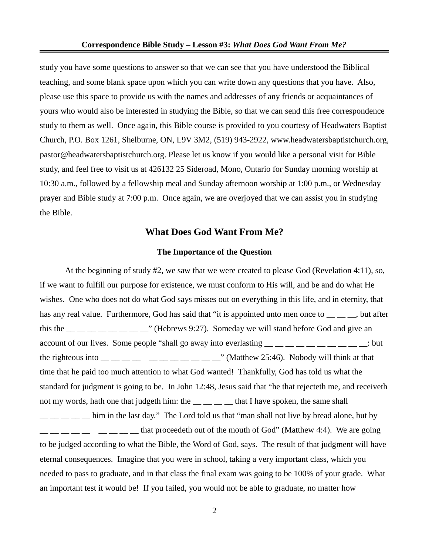study you have some questions to answer so that we can see that you have understood the Biblical teaching, and some blank space upon which you can write down any questions that you have. Also, please use this space to provide us with the names and addresses of any friends or acquaintances of yours who would also be interested in studying the Bible, so that we can send this free correspondence study to them as well. Once again, this Bible course is provided to you courtesy of Headwaters Baptist Church, P.O. Box 1261, Shelburne, ON, L9V 3M2, (519) 943-2922, www.headwatersbaptistchurch.org, pastor@headwatersbaptistchurch.org. Please let us know if you would like a personal visit for Bible study, and feel free to visit us at 426132 25 Sideroad, Mono, Ontario for Sunday morning worship at 10:30 a.m., followed by a fellowship meal and Sunday afternoon worship at 1:00 p.m., or Wednesday prayer and Bible study at 7:00 p.m. Once again, we are overjoyed that we can assist you in studying the Bible.

## **What Does God Want From Me?**

#### **The Importance of the Question**

At the beginning of study #2, we saw that we were created to please God (Revelation 4:11), so, if we want to fulfill our purpose for existence, we must conform to His will, and be and do what He wishes. One who does not do what God says misses out on everything in this life, and in eternity, that has any real value. Furthermore, God has said that "it is appointed unto men once to \_\_ \_ \_, but after this the  $\frac{1}{1}$   $\frac{1}{1}$   $\frac{1}{1}$   $\frac{1}{1}$   $\frac{1}{1}$   $\frac{1}{1}$   $\frac{1}{1}$   $\frac{1}{1}$   $\frac{1}{1}$   $\frac{1}{1}$   $\frac{1}{1}$   $\frac{1}{1}$   $\frac{1}{1}$   $\frac{1}{1}$   $\frac{1}{1}$   $\frac{1}{1}$   $\frac{1}{1}$   $\frac{1}{1}$   $\frac{1}{1}$   $\frac{1}{1}$   $\frac{1}{1}$   $\$ account of our lives. Some people "shall go away into everlasting  $\frac{1}{1}$   $\frac{1}{1}$   $\frac{1}{1}$   $\frac{1}{1}$   $\frac{1}{1}$   $\frac{1}{1}$   $\frac{1}{1}$   $\frac{1}{1}$   $\frac{1}{1}$   $\frac{1}{1}$   $\frac{1}{1}$   $\frac{1}{1}$   $\frac{1}{1}$   $\frac{1}{1}$   $\frac{1}{1}$   $\frac{1$ the righteous into  $\frac{1}{\frac{1}{\sqrt{1-\frac{1}{\sqrt{1-\frac{1}{\sqrt{1-\frac{1}{\sqrt{1-\frac{1}{\sqrt{1-\frac{1}{\sqrt{1-\frac{1}{\sqrt{1-\frac{1}{\sqrt{1-\frac{1}{\sqrt{1-\frac{1}{\sqrt{1-\frac{1}{\sqrt{1-\frac{1}{\sqrt{1-\frac{1}{\sqrt{1-\frac{1}{\sqrt{1-\frac{1}{\sqrt{1-\frac{1}{\sqrt{1-\frac{1}{\sqrt{1-\frac{1}{\sqrt{1-\frac{1}{\sqrt{1-\frac{1}{\sqrt{1-\frac{1}{\sqrt{1-\frac{1}{\sqrt$ time that he paid too much attention to what God wanted! Thankfully, God has told us what the standard for judgment is going to be. In John 12:48, Jesus said that "he that rejecteth me, and receiveth not my words, hath one that judgeth him: the \_\_ \_ \_ \_ that I have spoken, the same shall  $\frac{1}{1}$   $\frac{1}{1}$   $\frac{1}{1}$  him in the last day." The Lord told us that "man shall not live by bread alone, but by  $\frac{1}{2}$   $\frac{1}{2}$   $\frac{1}{2}$   $\frac{1}{2}$   $\frac{1}{2}$  that proceedeth out of the mouth of God" (Matthew 4:4). We are going to be judged according to what the Bible, the Word of God, says. The result of that judgment will have eternal consequences. Imagine that you were in school, taking a very important class, which you needed to pass to graduate, and in that class the final exam was going to be 100% of your grade. What an important test it would be! If you failed, you would not be able to graduate, no matter how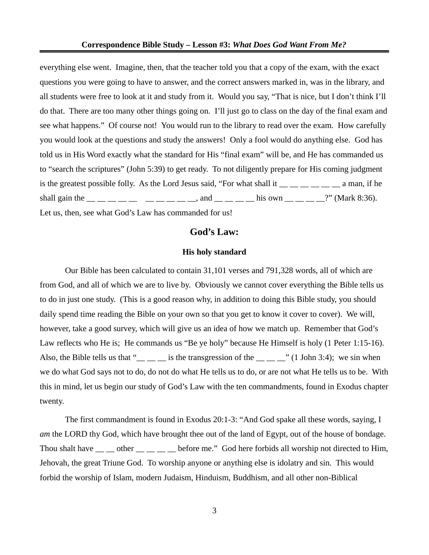everything else went. Imagine, then, that the teacher told you that a copy of the exam, with the exact questions you were going to have to answer, and the correct answers marked in, was in the library, and all students were free to look at it and study from it. Would you say, "That is nice, but I don't think I'll do that. There are too many other things going on. I'll just go to class on the day of the final exam and see what happens." Of course not! You would run to the library to read over the exam. How carefully you would look at the questions and study the answers! Only a fool would do anything else. God has told us in His Word exactly what the standard for His "final exam" will be, and He has commanded us to "search the scriptures" (John 5:39) to get ready. To not diligently prepare for His coming judgment is the greatest possible folly. As the Lord Jesus said, "For what shall it  $\frac{1}{1}$   $\frac{1}{1}$   $\frac{1}{1}$   $\frac{1}{1}$   $\frac{1}{1}$  a man, if he shall gain the  $\_\_$   $\_\_$   $\_\_$   $\_\_$   $\_\_$   $\_\_$   $\_\_$  and  $\_\_$   $\_\_$   $\_\_$  his own  $\_\_$   $\_\_$   $\_\_$ ?" (Mark 8:36). Let us, then, see what God's Law has commanded for us!

## **God's Law:**

#### **His holy standard**

Our Bible has been calculated to contain 31,101 verses and 791,328 words, all of which are from God, and all of which we are to live by. Obviously we cannot cover everything the Bible tells us to do in just one study. (This is a good reason why, in addition to doing this Bible study, you should daily spend time reading the Bible on your own so that you get to know it cover to cover). We will, however, take a good survey, which will give us an idea of how we match up. Remember that God's Law reflects who He is; He commands us "Be ye holy" because He Himself is holy (1 Peter 1:15-16). Also, the Bible tells us that " $\frac{1}{\sqrt{2}}$  is the transgression of the  $\frac{1}{\sqrt{2}}$  (1 John 3:4); we sin when we do what God says not to do, do not do what He tells us to do, or are not what He tells us to be. With this in mind, let us begin our study of God's Law with the ten commandments, found in Exodus chapter twenty.

The first commandment is found in Exodus 20:1-3: "And God spake all these words, saying, I *am* the LORD thy God, which have brought thee out of the land of Egypt, out of the house of bondage. Thou shalt have \_\_ \_\_ other \_\_ \_\_ \_\_ before me." God here forbids all worship not directed to Him, Jehovah, the great Triune God. To worship anyone or anything else is idolatry and sin. This would forbid the worship of Islam, modern Judaism, Hinduism, Buddhism, and all other non-Biblical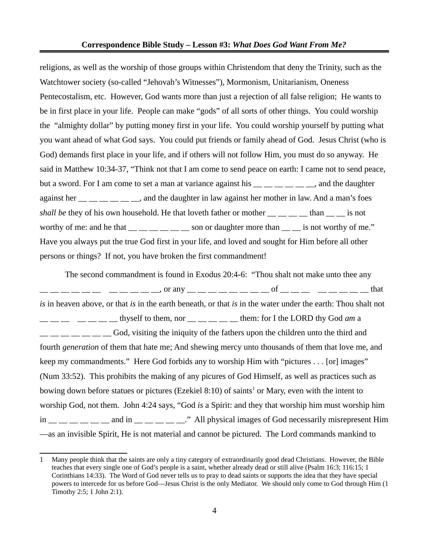religions, as well as the worship of those groups within Christendom that deny the Trinity, such as the Watchtower society (so-called "Jehovah's Witnesses"), Mormonism, Unitarianism, Oneness Pentecostalism, etc. However, God wants more than just a rejection of all false religion; He wants to be in first place in your life. People can make "gods" of all sorts of other things. You could worship the "almighty dollar" by putting money first in your life. You could worship yourself by putting what you want ahead of what God says. You could put friends or family ahead of God. Jesus Christ (who is God) demands first place in your life, and if others will not follow Him, you must do so anyway. He said in Matthew 10:34-37, "Think not that I am come to send peace on earth: I came not to send peace, but a sword. For I am come to set a man at variance against his  $\frac{1}{1}$   $\frac{1}{1}$   $\frac{1}{1}$   $\frac{1}{1}$  and the daughter against her  $\frac{1}{1}$   $\frac{1}{1}$   $\frac{1}{1}$   $\frac{1}{1}$  and the daughter in law against her mother in law. And a man's foes shall be they of his own household. He that loveth father or mother  $\frac{1}{1-\frac{1}{1-\frac{1}{1-\frac{1}{1-\frac{1}{1-\frac{1}{1-\frac{1}{1-\frac{1}{1-\frac{1}{1-\frac{1}{1-\frac{1}{1-\frac{1}{1-\frac{1}{1-\frac{1}{1-\frac{1}{1-\frac{1}{1-\frac{1}{1-\frac{1}{1-\frac{1}{1-\frac{1}{1-\frac{1}{1-\frac{1}{1-\frac{1}{1-\frac{1}{1-\frac{1}{1-\frac{$ worthy of me: and he that  $\frac{1}{1-\frac{1}{1-\frac{1}{1-\frac{1}{1-\frac{1}{1-\frac{1}{1-\frac{1}{1-\frac{1}{1-\frac{1}{1-\frac{1}{1-\frac{1}{1-\frac{1}{1-\frac{1}{1-\frac{1}{1-\frac{1}{1-\frac{1}{1-\frac{1}{1-\frac{1}{1-\frac{1}{1-\frac{1}{1-\frac{1}{1-\frac{1}{1-\frac{1}{1-\frac{1}{1-\frac{1}{1-\frac{1}{1-\frac{1}{1-\frac{1}{1-\frac{1}{1-\frac{1}{1-\frac{1}{1-\frac{1}{1-\frac$ Have you always put the true God first in your life, and loved and sought for Him before all other persons or things? If not, you have broken the first commandment!

The second commandment is found in Exodus 20:4-6: "Thou shalt not make unto thee any \_\_ \_\_ \_\_ \_\_ \_\_ \_\_ \_\_ \_\_ \_\_ \_\_ \_\_, or any \_\_ \_\_ \_\_ \_\_ \_\_ \_\_ \_\_ \_\_ of \_\_ \_\_ \_\_ \_\_ \_\_ \_\_ \_\_ \_\_ that *is* in heaven above, or that *is* in the earth beneath, or that *is* in the water under the earth: Thou shalt not  $\frac{1}{1}$   $\frac{1}{1}$   $\frac{1}{1}$   $\frac{1}{1}$   $\frac{1}{1}$   $\frac{1}{1}$  then, nor  $\frac{1}{1}$   $\frac{1}{1}$   $\frac{1}{1}$   $\frac{1}{1}$   $\frac{1}{1}$   $\frac{1}{1}$   $\frac{1}{1}$   $\frac{1}{1}$   $\frac{1}{1}$   $\frac{1}{1}$   $\frac{1}{1}$   $\frac{1}{1}$   $\frac{1}{1}$   $\frac{1}{1}$   $\frac{1}{1}$  God, visiting the iniquity of the fathers upon the children unto the third and fourth *generation* of them that hate me; And shewing mercy unto thousands of them that love me, and keep my commandments." Here God forbids any to worship Him with "pictures . . . [or] images" (Num 33:52). This prohibits the making of any picures of God Himself, as well as practices such as bowing down before statues or pictures (Ezekiel 8:[1](#page-3-0)0) of saints<sup>1</sup> or Mary, even with the intent to worship God, not them. John 4:24 says, "God *is* a Spirit: and they that worship him must worship him  $\lim$   $\frac{1}{\frac{1}{\sqrt{1-\frac{1}{\sqrt{1-\frac{1}{\sqrt{1-\frac{1}{\sqrt{1-\frac{1}{\sqrt{1-\frac{1}{\sqrt{1-\frac{1}{\sqrt{1-\frac{1}{\sqrt{1-\frac{1}{\sqrt{1-\frac{1}{\sqrt{1-\frac{1}{\sqrt{1-\frac{1}{\sqrt{1-\frac{1}{\sqrt{1-\frac{1}{\sqrt{1-\frac{1}{\sqrt{1-\frac{1}{\sqrt{1-\frac{1}{\sqrt{1-\frac{1}{\sqrt{1-\frac{1}{\sqrt{1-\frac{1}{\sqrt{1-\frac{1}{\sqrt{1-\frac{1}{\sqrt{1-\frac{1}{\sqrt{1-\frac{$ —as an invisible Spirit, He is not material and cannot be pictured. The Lord commands mankind to

<span id="page-3-0"></span><sup>1</sup> Many people think that the saints are only a tiny category of extraordinarily good dead Christians. However, the Bible teaches that every single one of God's people is a saint, whether already dead or still alive (Psalm 16:3; 116:15; 1 Corinthians 14:33). The Word of God never tells us to pray to dead saints or supports the idea that they have special powers to intercede for us before God—Jesus Christ is the only Mediator. We should only come to God through Him (1 Timothy 2:5; 1 John 2:1).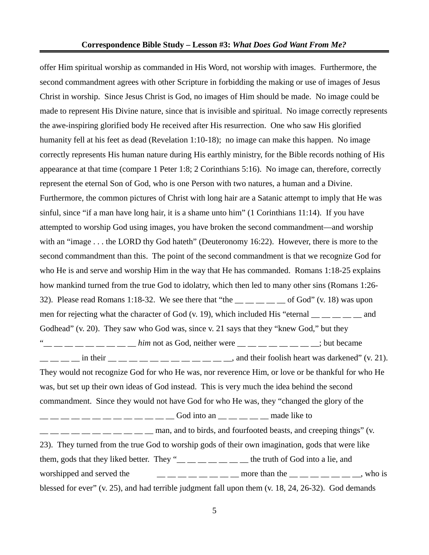offer Him spiritual worship as commanded in His Word, not worship with images. Furthermore, the second commandment agrees with other Scripture in forbidding the making or use of images of Jesus Christ in worship. Since Jesus Christ is God, no images of Him should be made. No image could be made to represent His Divine nature, since that is invisible and spiritual. No image correctly represents the awe-inspiring glorified body He received after His resurrection. One who saw His glorified humanity fell at his feet as dead (Revelation 1:10-18); no image can make this happen. No image correctly represents His human nature during His earthly ministry, for the Bible records nothing of His appearance at that time (compare 1 Peter 1:8; 2 Corinthians 5:16). No image can, therefore, correctly represent the eternal Son of God, who is one Person with two natures, a human and a Divine. Furthermore, the common pictures of Christ with long hair are a Satanic attempt to imply that He was sinful, since "if a man have long hair, it is a shame unto him" (1 Corinthians 11:14). If you have attempted to worship God using images, you have broken the second commandment—and worship with an "image . . . the LORD thy God hateth" (Deuteronomy 16:22). However, there is more to the second commandment than this. The point of the second commandment is that we recognize God for who He is and serve and worship Him in the way that He has commanded. Romans 1:18-25 explains how mankind turned from the true God to idolatry, which then led to many other sins (Romans 1:26- 32). Please read Romans 1:18-32. We see there that "the  $\_\_\_\_\_\_$   $\_\_$  of God" (v. 18) was upon men for rejecting what the character of God (v. 19), which included His "eternal  $\frac{1}{\sqrt{2}}$   $\frac{1}{\sqrt{2}}$  and Godhead" (v. 20). They saw who God was, since v. 21 says that they "knew God," but they — — — — — — — him not as God, neither were <sub>— —</sub> — <sub>—</sub> — — <sub>—</sub> — <sub>—</sub>; but became  $\frac{1}{1}$   $\frac{1}{1}$   $\frac{1}{2}$  in their  $\frac{1}{1}$   $\frac{1}{1}$   $\frac{1}{1}$   $\frac{1}{1}$   $\frac{1}{1}$   $\frac{1}{1}$   $\frac{1}{1}$   $\frac{1}{1}$   $\frac{1}{1}$   $\frac{1}{1}$   $\frac{1}{1}$   $\frac{1}{1}$   $\frac{1}{1}$   $\frac{1}{1}$   $\frac{1}{1}$   $\frac{1}{1}$   $\frac{1}{1}$   $\frac{1}{1}$   $\$ They would not recognize God for who He was, nor reverence Him, or love or be thankful for who He was, but set up their own ideas of God instead. This is very much the idea behind the second commandment. Since they would not have God for who He was, they "changed the glory of the \_\_ \_\_ \_\_ \_\_ \_\_ \_\_ \_\_ \_\_ \_\_ \_\_ \_\_ \_\_ \_\_ God into an \_\_ \_\_ \_\_ \_\_ \_\_ made like to  $\frac{1}{1}$   $\frac{1}{1}$   $\frac{1}{1}$   $\frac{1}{1}$   $\frac{1}{1}$   $\frac{1}{1}$   $\frac{1}{1}$   $\frac{1}{1}$   $\frac{1}{1}$   $\frac{1}{1}$  and fourfooted beasts, and creeping things" (v. 23). They turned from the true God to worship gods of their own imagination, gods that were like them, gods that they liked better. They " $\_\_\_\_\_\_\_\_\_\_\_\_\_\_\_$ the truth of God into a lie, and worshipped and served the  $\qquad \qquad \_ \_ \_ \_ \_ \_ \_ \_ \$  more than the  $\_ \_ \_ \_ \_ \_ \_ \_ \$ , who is blessed for ever" (v. 25), and had terrible judgment fall upon them (v. 18, 24, 26-32). God demands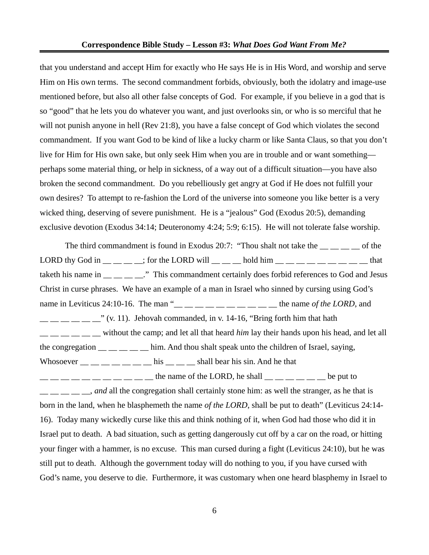that you understand and accept Him for exactly who He says He is in His Word, and worship and serve Him on His own terms. The second commandment forbids, obviously, both the idolatry and image-use mentioned before, but also all other false concepts of God. For example, if you believe in a god that is so "good" that he lets you do whatever you want, and just overlooks sin, or who is so merciful that he will not punish anyone in hell (Rev 21:8), you have a false concept of God which violates the second commandment. If you want God to be kind of like a lucky charm or like Santa Claus, so that you don't live for Him for His own sake, but only seek Him when you are in trouble and or want something perhaps some material thing, or help in sickness, of a way out of a difficult situation—you have also broken the second commandment. Do you rebelliously get angry at God if He does not fulfill your own desires? To attempt to re-fashion the Lord of the universe into someone you like better is a very wicked thing, deserving of severe punishment. He is a "jealous" God (Exodus 20:5), demanding exclusive devotion (Exodus 34:14; Deuteronomy 4:24; 5:9; 6:15). He will not tolerate false worship.

The third commandment is found in Exodus 20:7: "Thou shalt not take the  $\frac{1}{\sqrt{2}}$  =  $\frac{1}{\sqrt{2}}$  of the LORD thy God in  $\_\_$   $\_\_$ ; for the LORD will  $\_\_$   $\_\_$  hold him  $\_\_$   $\_\_$   $\_\_$   $\_\_$   $\_\_$  that taketh his name in \_\_ \_ \_ \_ \_." This commandment certainly does forbid references to God and Jesus Christ in curse phrases. We have an example of a man in Israel who sinned by cursing using God's name in Leviticus 24:10-16. The man "<sub>\_\_</sub> \_\_ \_ \_ \_ \_ \_ \_ \_ \_ \_ the name *of the LORD*, and  $\frac{1}{1-\frac{1}{1-\frac{1}{1-\frac{1}{1-\frac{1}{1-\frac{1}{1-\frac{1}{1-\frac{1}{1-\frac{1}{1-\frac{1}{1-\frac{1}{1-\frac{1}{1-\frac{1}{1-\frac{1}{1-\frac{1}{1-\frac{1}{1-\frac{1}{1-\frac{1}{1-\frac{1}{1-\frac{1}{1-\frac{1}{1-\frac{1}{1-\frac{1}{1-\frac{1}{1-\frac{1}{1-\frac{1}{1-\frac{1}{1-\frac{1}{1-\frac{1}{1-\frac{1}{1-\frac{1}{1-\frac{1}{1-\frac{1}{1-\frac{1}{1-\frac{1}{1-\frac{1}{1-\frac{1$ \_\_ \_\_ \_\_ \_\_ \_\_ \_\_ without the camp; and let all that heard *him* lay their hands upon his head, and let all the congregation  $\frac{1}{\sqrt{1-\frac{1}{\sqrt{1-\frac{1}{\sqrt{1-\frac{1}{\sqrt{1-\frac{1}{\sqrt{1-\frac{1}{\sqrt{1-\frac{1}{\sqrt{1-\frac{1}{\sqrt{1-\frac{1}{\sqrt{1-\frac{1}{\sqrt{1-\frac{1}{\sqrt{1-\frac{1}{\sqrt{1-\frac{1}{\sqrt{1-\frac{1}{\sqrt{1-\frac{1}{\sqrt{1-\frac{1}{\sqrt{1-\frac{1}{\sqrt{1-\frac{1}{\sqrt{1-\frac{1}{\sqrt{1-\frac{1}{\sqrt{1-\frac{1}{\sqrt{1-\frac{1}{\sqrt{1-\frac{1}{$ Whosoever  $\frac{1}{1}$   $\frac{1}{1}$   $\frac{1}{1}$   $\frac{1}{1}$   $\frac{1}{1}$   $\frac{1}{1}$   $\frac{1}{1}$   $\frac{1}{1}$   $\frac{1}{1}$   $\frac{1}{1}$   $\frac{1}{1}$   $\frac{1}{1}$   $\frac{1}{1}$   $\frac{1}{1}$   $\frac{1}{1}$   $\frac{1}{1}$   $\frac{1}{1}$   $\frac{1}{1}$   $\frac{1}{1}$   $\frac{1}{1}$   $\frac{1}{1}$   $\frac{1}{1}$   $\frac{1}{1}$   $\frac{1}{1}$   $\frac{1}{1}$   $\frac{1}{1}$   $\frac{1}{1}$   $\frac{1}{1}$   $\frac{1}{1}$   $\frac{1}{1}$   $\frac{1}{1}$   $\frac{1}{1}$   $\frac{1}{1}$   $\frac{1}{1}$   $\frac{1}{1}$   $\frac{1}{1}$   $\frac{1}{1}$   $\frac{1}{1}$   $\frac{1}{1}$   $\frac{1}{1}$   $\frac{1}{1}$   $\frac{1}{1}$   $\frac{1}{1}$   $\frac{1}{1}$   $\frac{1}{1}$   $\frac{1}{1}$   $\frac{1}{2}$   $\frac{1}{2}$  and all the congregation shall certainly stone him: as well the stranger, as he that is born in the land, when he blasphemeth the name *of the LORD*, shall be put to death" (Leviticus 24:14- 16). Today many wickedly curse like this and think nothing of it, when God had those who did it in Israel put to death. A bad situation, such as getting dangerously cut off by a car on the road, or hitting your finger with a hammer, is no excuse. This man cursed during a fight (Leviticus 24:10), but he was still put to death. Although the government today will do nothing to you, if you have cursed with God's name, you deserve to die. Furthermore, it was customary when one heard blasphemy in Israel to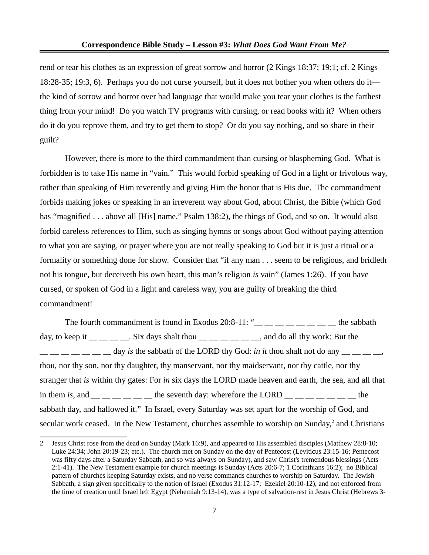rend or tear his clothes as an expression of great sorrow and horror (2 Kings 18:37; 19:1; cf. 2 Kings 18:28-35; 19:3, 6). Perhaps you do not curse yourself, but it does not bother you when others do it the kind of sorrow and horror over bad language that would make you tear your clothes is the farthest thing from your mind! Do you watch TV programs with cursing, or read books with it? When others do it do you reprove them, and try to get them to stop? Or do you say nothing, and so share in their guilt?

However, there is more to the third commandment than cursing or blaspheming God. What is forbidden is to take His name in "vain." This would forbid speaking of God in a light or frivolous way, rather than speaking of Him reverently and giving Him the honor that is His due. The commandment forbids making jokes or speaking in an irreverent way about God, about Christ, the Bible (which God has "magnified . . . above all [His] name," Psalm 138:2), the things of God, and so on. It would also forbid careless references to Him, such as singing hymns or songs about God without paying attention to what you are saying, or prayer where you are not really speaking to God but it is just a ritual or a formality or something done for show. Consider that "if any man . . . seem to be religious, and bridleth not his tongue, but deceiveth his own heart, this man's religion *is* vain" (James 1:26). If you have cursed, or spoken of God in a light and careless way, you are guilty of breaking the third commandment!

The fourth commandment is found in Exodus 20:8-11: " $\frac{m}{m}$   $\frac{m}{m}$   $\frac{m}{m}$   $\frac{m}{m}$  the sabbath day, to keep it  $\_\_$   $\_\_$ . Six days shalt thou  $\_\_$   $\_\_$   $\_\_$  and do all thy work: But the day *is* the sabbath of the LORD thy God: *in it* thou shalt not do any \_\_ \_\_ \_\_, thou, nor thy son, nor thy daughter, thy manservant, nor thy maidservant, nor thy cattle, nor thy stranger that *is* within thy gates: For *in* six days the LORD made heaven and earth, the sea, and all that in them *is*, and  $\frac{1}{1}$  \_ \_ \_ \_ \_ \_ \_ the seventh day: wherefore the LORD  $\frac{1}{1}$  \_ \_ \_ \_ \_ \_ \_ \_ the sabbath day, and hallowed it." In Israel, every Saturday was set apart for the worship of God, and secular work ceased. In the New Testament, churches assemble to worship on Sunday, $2$  and Christians

<span id="page-6-0"></span><sup>2</sup> Jesus Christ rose from the dead on Sunday (Mark 16:9), and appeared to His assembled disciples (Matthew 28:8-10; Luke 24:34; John 20:19-23; etc.). The church met on Sunday on the day of Pentecost (Leviticus 23:15-16; Pentecost was fifty days after a Saturday Sabbath, and so was always on Sunday), and saw Christ's tremendous blessings (Acts 2:1-41). The New Testament example for church meetings is Sunday (Acts 20:6-7; 1 Corinthians 16:2); no Biblical pattern of churches keeping Saturday exists, and no verse commands churches to worship on Saturday. The Jewish Sabbath, a sign given specifically to the nation of Israel (Exodus 31:12-17; Ezekiel 20:10-12), and not enforced from the time of creation until Israel left Egypt (Nehemiah 9:13-14), was a type of salvation-rest in Jesus Christ (Hebrews 3-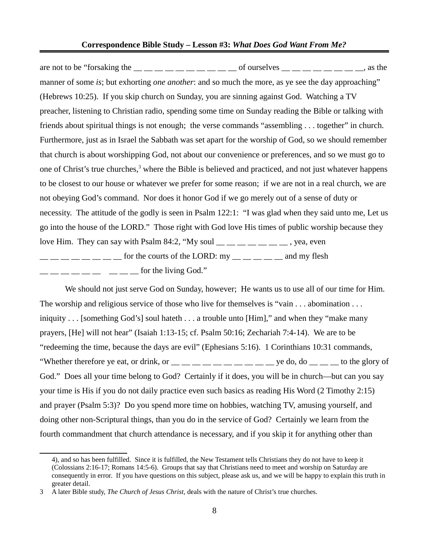#### **Correspondence Bible Study – Lesson #3:** *What Does God Want From Me?*

are not to be "forsaking the  $\frac{1}{1}$   $\frac{1}{1}$   $\frac{1}{1}$   $\frac{1}{1}$   $\frac{1}{1}$   $\frac{1}{1}$   $\frac{1}{1}$   $\frac{1}{1}$   $\frac{1}{1}$   $\frac{1}{1}$   $\frac{1}{1}$   $\frac{1}{1}$   $\frac{1}{1}$   $\frac{1}{1}$   $\frac{1}{1}$   $\frac{1}{1}$   $\frac{1}{1}$   $\frac{1}{1}$   $\frac{1}{1}$   $\$ manner of some *is*; but exhorting *one another*: and so much the more, as ye see the day approaching" (Hebrews 10:25). If you skip church on Sunday, you are sinning against God. Watching a TV preacher, listening to Christian radio, spending some time on Sunday reading the Bible or talking with friends about spiritual things is not enough; the verse commands "assembling . . . together" in church. Furthermore, just as in Israel the Sabbath was set apart for the worship of God, so we should remember that church is about worshipping God, not about our convenience or preferences, and so we must go to one of Christ's true churches,<sup>[3](#page-7-0)</sup> where the Bible is believed and practiced, and not just whatever happens to be closest to our house or whatever we prefer for some reason; if we are not in a real church, we are not obeying God's command. Nor does it honor God if we go merely out of a sense of duty or necessity. The attitude of the godly is seen in Psalm 122:1: "I was glad when they said unto me, Let us go into the house of the LORD." Those right with God love His times of public worship because they love Him. They can say with Psalm 84:2, "My soul  $\_\_\_\_\_\_\_\_\_\_\_$ .  $\frac{1}{1}$   $\frac{1}{1}$   $\frac{1}{1}$   $\frac{1}{1}$   $\frac{1}{1}$   $\frac{1}{1}$   $\frac{1}{1}$  for the courts of the LORD: my  $\frac{1}{1}$   $\frac{1}{1}$   $\frac{1}{1}$  and my flesh  $\frac{1}{2}$   $\frac{1}{2}$   $\frac{1}{2}$   $\frac{1}{2}$   $\frac{1}{2}$   $\frac{1}{2}$   $\frac{1}{2}$  for the living God."

We should not just serve God on Sunday, however; He wants us to use all of our time for Him. The worship and religious service of those who live for themselves is "vain . . . abomination . . . iniquity . . . [something God's] soul hateth . . . a trouble unto [Him]," and when they "make many prayers, [He] will not hear" (Isaiah 1:13-15; cf. Psalm 50:16; Zechariah 7:4-14). We are to be "redeeming the time, because the days are evil" (Ephesians 5:16). 1 Corinthians 10:31 commands, "Whether therefore ye eat, or drink, or  $\_\_\_\_\_\_\_\_\_\_\_\_\_\_\_\_$  ye do, do  $\_\_\_\_\_\_$ to the glory of God." Does all your time belong to God? Certainly if it does, you will be in church—but can you say your time is His if you do not daily practice even such basics as reading His Word (2 Timothy 2:15) and prayer (Psalm 5:3)? Do you spend more time on hobbies, watching TV, amusing yourself, and doing other non-Scriptural things, than you do in the service of God? Certainly we learn from the fourth commandment that church attendance is necessary, and if you skip it for anything other than

<sup>4),</sup> and so has been fulfilled. Since it is fulfilled, the New Testament tells Christians they do not have to keep it (Colossians 2:16-17; Romans 14:5-6). Groups that say that Christians need to meet and worship on Saturday are consequently in error. If you have questions on this subject, please ask us, and we will be happy to explain this truth in greater detail.

<span id="page-7-0"></span><sup>3</sup> A later Bible study, *The Church of Jesus Christ,* deals with the nature of Christ's true churches.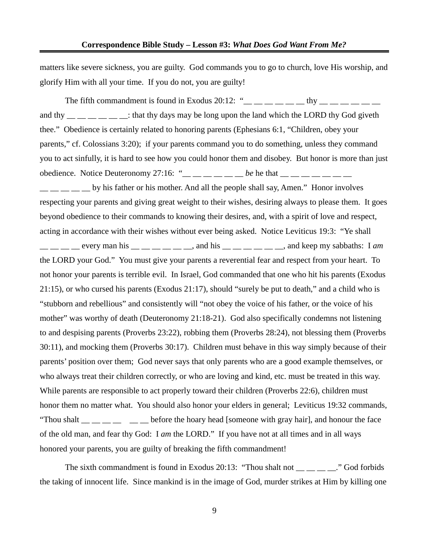matters like severe sickness, you are guilty. God commands you to go to church, love His worship, and glorify Him with all your time. If you do not, you are guilty!

The fifth commandment is found in Exodus 20:12: " $\frac{1}{2}$   $\frac{1}{2}$   $\frac{1}{2}$   $\frac{1}{2}$   $\frac{1}{2}$   $\frac{1}{2}$   $\frac{1}{2}$   $\frac{1}{2}$   $\frac{1}{2}$   $\frac{1}{2}$   $\frac{1}{2}$   $\frac{1}{2}$   $\frac{1}{2}$   $\frac{1}{2}$   $\frac{1}{2}$   $\frac{1}{2}$   $\frac{1}{2}$   $\$ and thy  $\frac{1}{1}$   $\frac{1}{1}$   $\frac{1}{1}$   $\frac{1}{1}$   $\frac{1}{1}$   $\frac{1}{1}$   $\frac{1}{1}$  that thy days may be long upon the land which the LORD thy God giveth thee." Obedience is certainly related to honoring parents (Ephesians 6:1, "Children, obey your parents," cf. Colossians 3:20); if your parents command you to do something, unless they command you to act sinfully, it is hard to see how you could honor them and disobey. But honor is more than just obedience. Notice Deuteronomy 27:16: " $\_\_$   $\_\_$   $\_\_$  *be* he that  $\_\_$   $\_\_$   $\_\_$  $\frac{1}{1}$   $\frac{1}{1}$   $\frac{1}{1}$  by his father or his mother. And all the people shall say, Amen." Honor involves respecting your parents and giving great weight to their wishes, desiring always to please them. It goes beyond obedience to their commands to knowing their desires, and, with a spirit of love and respect, acting in accordance with their wishes without ever being asked. Notice Leviticus 19:3: "Ye shall \_\_ \_\_ \_\_ \_\_ every man his \_\_ \_\_ \_\_ \_\_ \_\_ \_\_, and his \_\_ \_\_ \_\_ \_\_ \_\_ \_\_, and keep my sabbaths: I *am* the LORD your God." You must give your parents a reverential fear and respect from your heart. To not honor your parents is terrible evil. In Israel, God commanded that one who hit his parents (Exodus 21:15), or who cursed his parents (Exodus 21:17), should "surely be put to death," and a child who is "stubborn and rebellious" and consistently will "not obey the voice of his father, or the voice of his mother" was worthy of death (Deuteronomy 21:18-21). God also specifically condemns not listening to and despising parents (Proverbs 23:22), robbing them (Proverbs 28:24), not blessing them (Proverbs 30:11), and mocking them (Proverbs 30:17). Children must behave in this way simply because of their parents' position over them; God never says that only parents who are a good example themselves, or who always treat their children correctly, or who are loving and kind, etc. must be treated in this way. While parents are responsible to act properly toward their children (Proverbs 22:6), children must honor them no matter what. You should also honor your elders in general; Leviticus 19:32 commands, "Thou shalt  $\frac{1}{1}$   $\frac{1}{1}$   $\frac{1}{1}$   $\frac{1}{1}$   $\frac{1}{1}$  before the hoary head [someone with gray hair], and honour the face of the old man, and fear thy God: I *am* the LORD." If you have not at all times and in all ways honored your parents, you are guilty of breaking the fifth commandment!

The sixth commandment is found in Exodus 20:13: "Thou shalt not ." God forbids the taking of innocent life. Since mankind is in the image of God, murder strikes at Him by killing one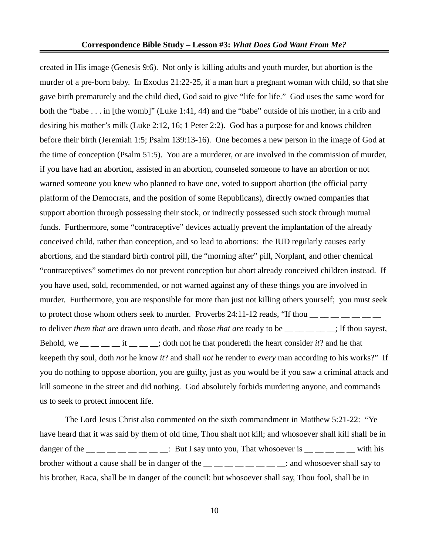created in His image (Genesis 9:6). Not only is killing adults and youth murder, but abortion is the murder of a pre-born baby. In Exodus 21:22-25, if a man hurt a pregnant woman with child, so that she gave birth prematurely and the child died, God said to give "life for life." God uses the same word for both the "babe . . . in [the womb]" (Luke 1:41, 44) and the "babe" outside of his mother, in a crib and desiring his mother's milk (Luke 2:12, 16; 1 Peter 2:2). God has a purpose for and knows children before their birth (Jeremiah 1:5; Psalm 139:13-16). One becomes a new person in the image of God at the time of conception (Psalm 51:5). You are a murderer, or are involved in the commission of murder, if you have had an abortion, assisted in an abortion, counseled someone to have an abortion or not warned someone you knew who planned to have one, voted to support abortion (the official party platform of the Democrats, and the position of some Republicans), directly owned companies that support abortion through possessing their stock, or indirectly possessed such stock through mutual funds. Furthermore, some "contraceptive" devices actually prevent the implantation of the already conceived child, rather than conception, and so lead to abortions: the IUD regularly causes early abortions, and the standard birth control pill, the "morning after" pill, Norplant, and other chemical "contraceptives" sometimes do not prevent conception but abort already conceived children instead. If you have used, sold, recommended, or not warned against any of these things you are involved in murder. Furthermore, you are responsible for more than just not killing others yourself; you must seek to protect those whom others seek to murder. Proverbs 24:11-12 reads, "If thou  $\frac{m}{m}$   $\frac{m}{m}$   $\frac{m}{m}$   $\frac{m}{m}$ to deliver *them that are* drawn unto death, and *those that are* ready to be <sub>\_\_</sub> \_\_ \_\_ \_\_; If thou sayest, Behold, we  $\frac{1}{\sqrt{1-\frac{1}{\sqrt{1-\frac{1}{\sqrt{1-\frac{1}{\sqrt{1-\frac{1}{\sqrt{1-\frac{1}{\sqrt{1-\frac{1}{\sqrt{1-\frac{1}{\sqrt{1-\frac{1}{\sqrt{1-\frac{1}{\sqrt{1-\frac{1}{\sqrt{1-\frac{1}{\sqrt{1-\frac{1}{\sqrt{1-\frac{1}{\sqrt{1-\frac{1}{\sqrt{1-\frac{1}{\sqrt{1-\frac{1}{\sqrt{1-\frac{1}{\sqrt{1-\frac{1}{\sqrt{1-\frac{1}{\sqrt{1-\frac{1}{\sqrt{1-\frac{1}{\sqrt{1-\frac{1}{\sqrt{1-\frac$ keepeth thy soul, doth *not* he know *it*? and shall *not* he render to *every* man according to his works?" If you do nothing to oppose abortion, you are guilty, just as you would be if you saw a criminal attack and kill someone in the street and did nothing. God absolutely forbids murdering anyone, and commands us to seek to protect innocent life.

The Lord Jesus Christ also commented on the sixth commandment in Matthew 5:21-22: "Ye have heard that it was said by them of old time, Thou shalt not kill; and whosoever shall kill shall be in danger of the  $\frac{1}{1}$   $\frac{1}{1}$   $\frac{1}{1}$   $\frac{1}{1}$   $\frac{1}{1}$   $\frac{1}{1}$   $\frac{1}{1}$   $\frac{1}{1}$   $\frac{1}{1}$   $\frac{1}{1}$   $\frac{1}{1}$   $\frac{1}{1}$   $\frac{1}{1}$   $\frac{1}{1}$   $\frac{1}{1}$   $\frac{1}{1}$   $\frac{1}{1}$   $\frac{1}{1}$   $\frac{1}{1}$   $\frac{1}{1}$   $\frac{1}{1$ brother without a cause shall be in danger of the  $\frac{1}{2}$   $\frac{1}{2}$   $\frac{1}{2}$   $\frac{1}{2}$   $\frac{1}{2}$   $\frac{1}{2}$  and whosoever shall say to his brother, Raca, shall be in danger of the council: but whosoever shall say, Thou fool, shall be in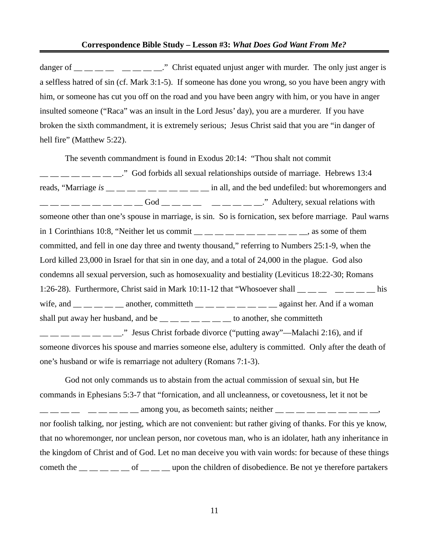danger of  $\frac{1}{\sqrt{1-\frac{1}{\sqrt{1-\frac{1}{\sqrt{1-\frac{1}{\sqrt{1-\frac{1}{\sqrt{1-\frac{1}{\sqrt{1-\frac{1}{\sqrt{1-\frac{1}{\sqrt{1-\frac{1}{\sqrt{1-\frac{1}{\sqrt{1-\frac{1}{\sqrt{1-\frac{1}{\sqrt{1-\frac{1}{\sqrt{1-\frac{1}{\sqrt{1-\frac{1}{\sqrt{1-\frac{1}{\sqrt{1-\frac{1}{\sqrt{1-\frac{1}{\sqrt{1-\frac{1}{\sqrt{1-\frac{1}{\sqrt{1-\frac{1}{\sqrt{1-\frac{1}{\sqrt{1-\frac{1}{\sqrt{1-\frac{$ a selfless hatred of sin (cf. Mark 3:1-5). If someone has done you wrong, so you have been angry with him, or someone has cut you off on the road and you have been angry with him, or you have in anger insulted someone ("Raca" was an insult in the Lord Jesus' day), you are a murderer. If you have broken the sixth commandment, it is extremely serious; Jesus Christ said that you are "in danger of hell fire" (Matthew 5:22).

The seventh commandment is found in Exodus 20:14: "Thou shalt not commit  $\frac{1}{1}$   $\frac{1}{1}$   $\frac{1}{1}$   $\frac{1}{1}$   $\frac{1}{1}$   $\frac{1}{1}$   $\frac{1}{1}$   $\frac{1}{1}$   $\frac{1}{1}$   $\frac{1}{1}$  sexual relationships outside of marriage. Hebrews 13:4 reads, "Marriage *is* \_\_ \_ \_ \_ \_ \_ \_ \_ \_ \_ \_ \_ \_ \_ in all, and the bed undefiled: but whoremongers and  $\frac{1}{1}$   $\frac{1}{1}$   $\frac{1}{1}$   $\frac{1}{1}$   $\frac{1}{1}$   $\frac{1}{1}$   $\frac{1}{1}$   $\frac{1}{1}$   $\frac{1}{1}$   $\frac{1}{1}$   $\frac{1}{1}$   $\frac{1}{1}$   $\frac{1}{1}$   $\frac{1}{1}$   $\frac{1}{1}$   $\frac{1}{1}$   $\frac{1}{1}$   $\frac{1}{1}$   $\frac{1}{1}$   $\frac{1}{1}$   $\frac{1}{1}$   $\frac{1}{1}$  someone other than one's spouse in marriage, is sin. So is fornication, sex before marriage. Paul warns in 1 Corinthians 10:8, "Neither let us commit  $\frac{1}{\frac{1}{1-\frac{1}{1-\frac{1}{1-\frac{1}{1-\frac{1}{1-\frac{1}{1-\frac{1}{1-\frac{1}{1-\frac{1}{1-\frac{1}{1-\frac{1}{1-\frac{1}{1-\frac{1}{1-\frac{1}{1-\frac{1}{1-\frac{1}{1-\frac{1}{1-\frac{1}{1-\frac{1}{1-\frac{1}{1-\frac{1}{1-\frac{1}{1-\frac{1}{1-\frac{1}{1-\frac{1}{1-\frac{1}{1-\frac{1}{1-\frac{1}{1-\$ committed, and fell in one day three and twenty thousand," referring to Numbers 25:1-9, when the Lord killed 23,000 in Israel for that sin in one day, and a total of 24,000 in the plague. God also condemns all sexual perversion, such as homosexuality and bestiality (Leviticus 18:22-30; Romans 1:26-28). Furthermore, Christ said in Mark 10:11-12 that "Whosoever shall  $\frac{1}{\sqrt{2}}$  \_\_ \_ \_ \_ \_ \_ \_ his wife, and  $\frac{1}{\sqrt{2}}$   $\frac{1}{\sqrt{2}}$  another, committeth  $\frac{1}{\sqrt{2}}$   $\frac{1}{\sqrt{2}}$   $\frac{1}{\sqrt{2}}$  against her. And if a woman shall put away her husband, and be  $\frac{m}{m}$   $\frac{m}{m}$   $\frac{m}{m}$   $\frac{m}{m}$  to another, she committeth ." Jesus Christ forbade divorce ("putting away"—Malachi 2:16), and if someone divorces his spouse and marries someone else, adultery is committed. Only after the death of one's husband or wife is remarriage not adultery (Romans 7:1-3).

God not only commands us to abstain from the actual commission of sexual sin, but He commands in Ephesians 5:3-7 that "fornication, and all uncleanness, or covetousness, let it not be  $\frac{1}{1}$   $\frac{1}{1}$   $\frac{1}{1}$   $\frac{1}{1}$   $\frac{1}{1}$   $\frac{1}{1}$  among you, as becometh saints; neither  $\frac{1}{1}$   $\frac{1}{1}$   $\frac{1}{1}$   $\frac{1}{1}$   $\frac{1}{1}$   $\frac{1}{1}$   $\frac{1}{1}$   $\frac{1}{1}$   $\frac{1}{1}$   $\frac{1}{1}$   $\frac{1}{1}$   $\frac{1}{1}$   $\$ nor foolish talking, nor jesting, which are not convenient: but rather giving of thanks. For this ye know, that no whoremonger, nor unclean person, nor covetous man, who is an idolater, hath any inheritance in the kingdom of Christ and of God. Let no man deceive you with vain words: for because of these things cometh the  $\frac{1}{1-\frac{1}{1-\frac{1}{1-\frac{1}{1-\frac{1}{1-\frac{1}{1-\frac{1}{1-\frac{1}{1-\frac{1}{1-\frac{1}{1-\frac{1}{1-\frac{1}{1-\frac{1}{1-\frac{1}{1-\frac{1}{1-\frac{1}{1-\frac{1}{1-\frac{1}{1-\frac{1}{1-\frac{1}{1-\frac{1}{1-\frac{1}{1-\frac{1}{1-\frac{1}{1-\frac{1}{1-\frac{1}{1-\frac{1}{1-\frac{1}{1-\frac{1}{1-\frac{1}{1-\frac{1}{1-\frac{1}{1-\frac{1}{1-\frac{1}{1-\frac{1}{$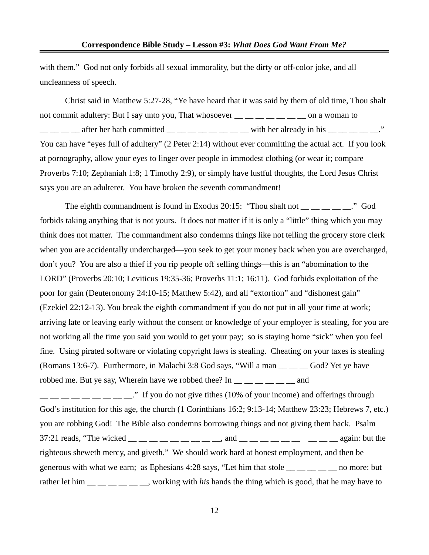with them." God not only forbids all sexual immorality, but the dirty or off-color joke, and all uncleanness of speech.

Christ said in Matthew 5:27-28, "Ye have heard that it was said by them of old time, Thou shalt not commit adultery: But I say unto you, That whosoever  $\frac{1}{1}$  \_\_ \_ \_ \_ \_ \_ \_ \_ on a woman to  $\frac{1}{1}$  after her hath committed  $\frac{1}{1}$   $\frac{1}{1}$   $\frac{1}{1}$   $\frac{1}{1}$   $\frac{1}{1}$   $\frac{1}{1}$   $\frac{1}{1}$   $\frac{1}{1}$   $\frac{1}{1}$   $\frac{1}{1}$   $\frac{1}{1}$   $\frac{1}{1}$   $\frac{1}{1}$   $\frac{1}{1}$   $\frac{1}{1}$   $\frac{1}{1}$   $\frac{1}{1}$   $\frac{1}{1}$   $\frac{1}{$ You can have "eyes full of adultery" (2 Peter 2:14) without ever committing the actual act. If you look at pornography, allow your eyes to linger over people in immodest clothing (or wear it; compare Proverbs 7:10; Zephaniah 1:8; 1 Timothy 2:9), or simply have lustful thoughts, the Lord Jesus Christ says you are an adulterer. You have broken the seventh commandment!

The eighth commandment is found in Exodus 20:15: "Thou shalt not  $\frac{1}{\sqrt{2}}$   $\frac{1}{\sqrt{2}}$  God forbids taking anything that is not yours. It does not matter if it is only a "little" thing which you may think does not matter. The commandment also condemns things like not telling the grocery store clerk when you are accidentally undercharged—you seek to get your money back when you are overcharged, don't you? You are also a thief if you rip people off selling things—this is an "abomination to the LORD" (Proverbs 20:10; Leviticus 19:35-36; Proverbs 11:1; 16:11). God forbids exploitation of the poor for gain (Deuteronomy 24:10-15; Matthew 5:42), and all "extortion" and "dishonest gain" (Ezekiel 22:12-13). You break the eighth commandment if you do not put in all your time at work; arriving late or leaving early without the consent or knowledge of your employer is stealing, for you are not working all the time you said you would to get your pay; so is staying home "sick" when you feel fine. Using pirated software or violating copyright laws is stealing. Cheating on your taxes is stealing (Romans 13:6-7). Furthermore, in Malachi 3:8 God says, "Will a man \_\_ \_\_ \_\_ God? Yet ye have robbed me. But ye say, Wherein have we robbed thee? In  $\_\_\_\_\_\_\_$   $\_\_\_\_$  and

 $\ddot{\text{ }}$  If you do not give tithes (10% of your income) and offerings through God's institution for this age, the church (1 Corinthians 16:2; 9:13-14; Matthew 23:23; Hebrews 7, etc.) you are robbing God! The Bible also condemns borrowing things and not giving them back. Psalm 37:21 reads, "The wicked  $\_\_\_\_\_\_\_\_\_\_\_\_\_\_\_$  and  $\_\_\_\_\_\_\_\_\_\_\_\_$   $\_\_\_\_\_\_$   $\_\_\_\_$  again: but the righteous sheweth mercy, and giveth." We should work hard at honest employment, and then be generous with what we earn; as Ephesians 4:28 says, "Let him that stole  $\_\_\_\_\_\_$  no more: but rather let him  $\frac{1}{1}$  \_\_ \_ \_ \_ \_ \_ \_ working with *his* hands the thing which is good, that he may have to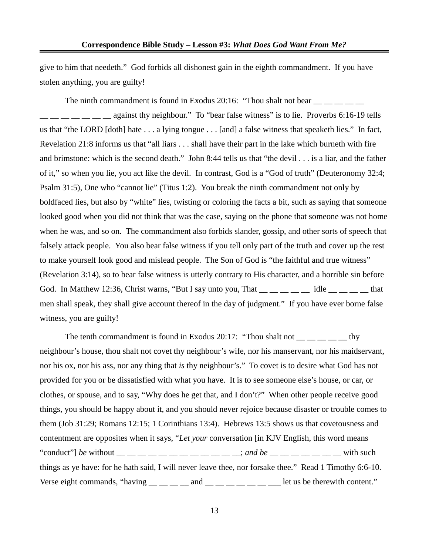give to him that needeth." God forbids all dishonest gain in the eighth commandment. If you have stolen anything, you are guilty!

The ninth commandment is found in Exodus 20:16: "Thou shalt not bear  $\frac{1}{\sqrt{2}}$   $\frac{1}{\sqrt{2}}$  $\frac{1}{1}$   $\frac{1}{1}$   $\frac{1}{1}$   $\frac{1}{1}$  against thy neighbour." To "bear false witness" is to lie. Proverbs 6:16-19 tells us that "the LORD [doth] hate . . . a lying tongue . . . [and] a false witness that speaketh lies." In fact, Revelation 21:8 informs us that "all liars . . . shall have their part in the lake which burneth with fire and brimstone: which is the second death." John 8:44 tells us that "the devil . . . is a liar, and the father of it," so when you lie, you act like the devil. In contrast, God is a "God of truth" (Deuteronomy 32:4; Psalm 31:5), One who "cannot lie" (Titus 1:2). You break the ninth commandment not only by boldfaced lies, but also by "white" lies, twisting or coloring the facts a bit, such as saying that someone looked good when you did not think that was the case, saying on the phone that someone was not home when he was, and so on. The commandment also forbids slander, gossip, and other sorts of speech that falsely attack people. You also bear false witness if you tell only part of the truth and cover up the rest to make yourself look good and mislead people. The Son of God is "the faithful and true witness" (Revelation 3:14), so to bear false witness is utterly contrary to His character, and a horrible sin before God. In Matthew 12:36, Christ warns, "But I say unto you, That  $\frac{m}{m}$   $\frac{m}{m}$   $\frac{m}{m}$  idle  $\frac{m}{m}$  that men shall speak, they shall give account thereof in the day of judgment." If you have ever borne false witness, you are guilty!

The tenth commandment is found in Exodus 20:17: "Thou shalt not  $\frac{1}{1}$   $\frac{1}{1}$   $\frac{1}{1}$   $\frac{1}{1}$   $\frac{1}{1}$   $\frac{1}{1}$ neighbour's house, thou shalt not covet thy neighbour's wife, nor his manservant, nor his maidservant, nor his ox, nor his ass, nor any thing that *is* thy neighbour's." To covet is to desire what God has not provided for you or be dissatisfied with what you have. It is to see someone else's house, or car, or clothes, or spouse, and to say, "Why does he get that, and I don't?" When other people receive good things, you should be happy about it, and you should never rejoice because disaster or trouble comes to them (Job 31:29; Romans 12:15; 1 Corinthians 13:4). Hebrews 13:5 shows us that covetousness and contentment are opposites when it says, "*Let your* conversation [in KJV English, this word means "conduct"] *be* without  $\_\_$   $\_\_$   $\_\_$   $\_\_$   $\_\_$   $\_\_$   $\_\_$   $\_\_$   $\_\_$  *s ond be*  $\_\_$   $\_\_$   $\_\_$  with such things as ye have: for he hath said, I will never leave thee, nor forsake thee." Read 1 Timothy 6:6-10. Verse eight commands, "having  $\_\_\_\_\_$  and  $\_\_\_\_\_\_\_$  and  $\_\_\_\_\_\_$  let us be therewith content."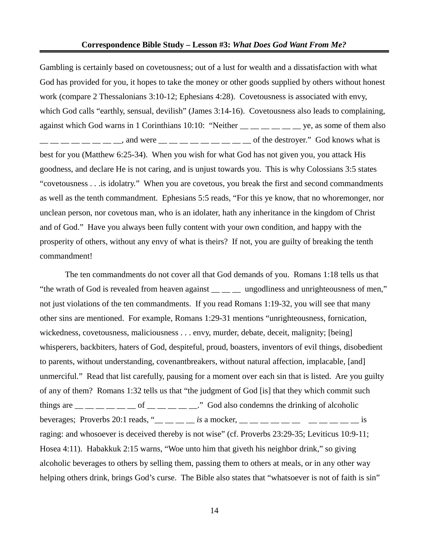Gambling is certainly based on covetousness; out of a lust for wealth and a dissatisfaction with what God has provided for you, it hopes to take the money or other goods supplied by others without honest work (compare 2 Thessalonians 3:10-12; Ephesians 4:28). Covetousness is associated with envy, which God calls "earthly, sensual, devilish" (James 3:14-16). Covetousness also leads to complaining, against which God warns in 1 Corinthians 10:10: "Neither \_\_ \_ \_ \_ \_ \_ \_ ye, as some of them also  $\frac{1}{1}$   $\frac{1}{1}$   $\frac{1}{2}$   $\frac{1}{2}$   $\frac{1}{2}$   $\frac{1}{2}$   $\frac{1}{2}$   $\frac{1}{2}$   $\frac{1}{2}$   $\frac{1}{2}$   $\frac{1}{2}$   $\frac{1}{2}$   $\frac{1}{2}$   $\frac{1}{2}$   $\frac{1}{2}$   $\frac{1}{2}$   $\frac{1}{2}$   $\frac{1}{2}$   $\frac{1}{2}$   $\frac{1}{2}$   $\frac{1}{2}$   $\frac{1}{2}$  best for you (Matthew 6:25-34). When you wish for what God has not given you, you attack His goodness, and declare He is not caring, and is unjust towards you. This is why Colossians 3:5 states "covetousness . . .is idolatry." When you are covetous, you break the first and second commandments as well as the tenth commandment. Ephesians 5:5 reads, "For this ye know, that no whoremonger, nor unclean person, nor covetous man, who is an idolater, hath any inheritance in the kingdom of Christ and of God." Have you always been fully content with your own condition, and happy with the prosperity of others, without any envy of what is theirs? If not, you are guilty of breaking the tenth commandment!

The ten commandments do not cover all that God demands of you. Romans 1:18 tells us that "the wrath of God is revealed from heaven against \_\_ \_\_ \_\_ ungodliness and unrighteousness of men," not just violations of the ten commandments. If you read Romans 1:19-32, you will see that many other sins are mentioned. For example, Romans 1:29-31 mentions "unrighteousness, fornication, wickedness, covetousness, maliciousness . . . envy, murder, debate, deceit, malignity; [being] whisperers, backbiters, haters of God, despiteful, proud, boasters, inventors of evil things, disobedient to parents, without understanding, covenantbreakers, without natural affection, implacable, [and] unmerciful." Read that list carefully, pausing for a moment over each sin that is listed. Are you guilty of any of them? Romans 1:32 tells us that "the judgment of God [is] that they which commit such things are  $\frac{1}{1}$   $\frac{1}{1}$   $\frac{1}{1}$   $\frac{1}{1}$   $\frac{1}{1}$   $\frac{1}{1}$   $\frac{1}{1}$   $\frac{1}{1}$   $\frac{1}{1}$   $\frac{1}{1}$   $\frac{1}{1}$   $\frac{1}{1}$   $\frac{1}{1}$   $\frac{1}{1}$   $\frac{1}{1}$   $\frac{1}{1}$   $\frac{1}{1}$   $\frac{1}{1}$   $\frac{1}{1}$   $\frac{1}{1}$   $\frac{1}{1}$  beverages; Proverbs 20:1 reads, "<sub>\_\_\_\_\_</sub> \_\_ *is* a mocker, \_\_ \_\_ \_\_ \_\_ \_\_ \_\_ \_\_ \_\_ \_\_ is raging: and whosoever is deceived thereby is not wise" (cf. Proverbs 23:29-35; Leviticus 10:9-11; Hosea 4:11). Habakkuk 2:15 warns, "Woe unto him that giveth his neighbor drink," so giving alcoholic beverages to others by selling them, passing them to others at meals, or in any other way helping others drink, brings God's curse. The Bible also states that "whatsoever is not of faith is sin"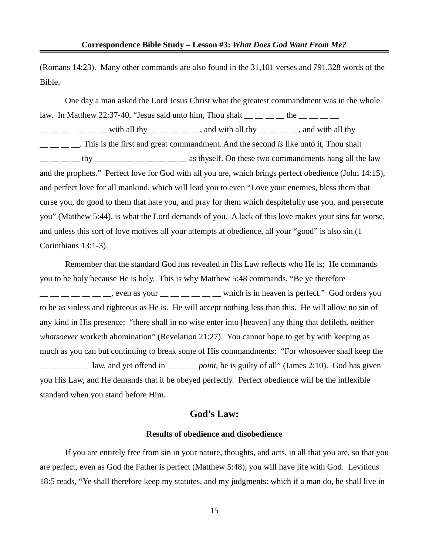(Romans 14:23). Many other commands are also found in the 31,101 verses and 791,328 words of the Bible.

One day a man asked the Lord Jesus Christ what the greatest commandment was in the whole law. In Matthew 22:37-40, "Jesus said unto him, Thou shalt  $\frac{1}{1}$   $\frac{1}{1}$   $\frac{1}{1}$   $\frac{1}{1}$  the  $\frac{1}{1}$   $\frac{1}{1}$  $\frac{1}{1}$   $\frac{1}{1}$   $\frac{1}{1}$   $\frac{1}{1}$  with all thy  $\frac{1}{1}$   $\frac{1}{1}$   $\frac{1}{1}$   $\frac{1}{1}$   $\frac{1}{1}$   $\frac{1}{1}$   $\frac{1}{1}$   $\frac{1}{1}$   $\frac{1}{1}$   $\frac{1}{1}$   $\frac{1}{1}$   $\frac{1}{1}$   $\frac{1}{1}$   $\frac{1}{1}$   $\frac{1}{1}$   $\frac{1}{1}$   $\frac{1}{1}$ \_\_ \_\_ \_\_ \_\_. This is the first and great commandment. And the second *is* like unto it, Thou shalt  $\frac{1}{1}$   $\frac{1}{1}$   $\frac{1}{1}$   $\frac{1}{1}$   $\frac{1}{1}$   $\frac{1}{1}$   $\frac{1}{1}$   $\frac{1}{1}$   $\frac{1}{1}$   $\frac{1}{1}$   $\frac{1}{1}$   $\frac{1}{1}$   $\frac{1}{1}$   $\frac{1}{1}$   $\frac{1}{1}$   $\frac{1}{1}$   $\frac{1}{1}$   $\frac{1}{1}$   $\frac{1}{1}$   $\frac{1}{1}$   $\frac{1}{1}$   $\frac{1}{1}$  and the prophets." Perfect love for God with all you are, which brings perfect obedience (John 14:15), and perfect love for all mankind, which will lead you to even "Love your enemies, bless them that curse you, do good to them that hate you, and pray for them which despitefully use you, and persecute you" (Matthew 5:44), is what the Lord demands of you. A lack of this love makes your sins far worse, and unless this sort of love motives all your attempts at obedience, all your "good" is also sin (1 Corinthians 13:1-3).

Remember that the standard God has revealed in His Law reflects who He is; He commands you to be holy because He is holy. This is why Matthew 5:48 commands, "Be ye therefore , even as your extended which is in heaven is perfect." God orders you to be as sinless and righteous as He is. He will accept nothing less than this. He will allow no sin of any kind in His presence; "there shall in no wise enter into [heaven] any thing that defileth, neither *whatsoever* worketh abomination" (Revelation 21:27). You cannot hope to get by with keeping as much as you can but continuing to break some of His commandments: "For whosoever shall keep the  $\frac{1}{1}$  \_ \_ \_ \_ law, and yet offend in \_ \_ \_ *\_ point*, he is guilty of all" (James 2:10). God has given you His Law, and He demands that it be obeyed perfectly. Perfect obedience will be the inflexible standard when you stand before Him.

## **God's Law:**

## **Results of obedience and disobedience**

If you are entirely free from sin in your nature, thoughts, and acts, in all that you are, so that you are perfect, even as God the Father is perfect (Matthew 5:48), you will have life with God. Leviticus 18:5 reads, "Ye shall therefore keep my statutes, and my judgments: which if a man do, he shall live in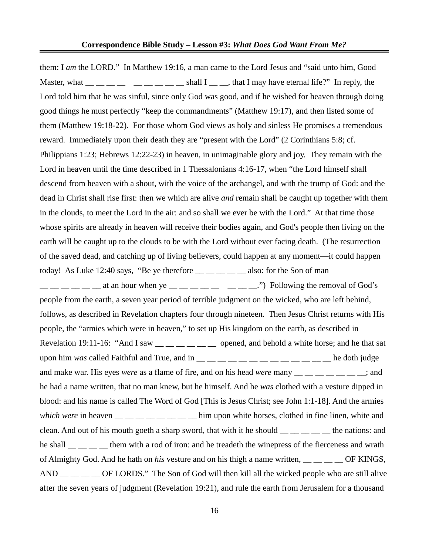them: I *am* the LORD." In Matthew 19:16, a man came to the Lord Jesus and "said unto him, Good Master, what  $\frac{1}{\sqrt{2}}$   $\frac{1}{\sqrt{2}}$   $\frac{1}{\sqrt{2}}$   $\frac{1}{\sqrt{2}}$  shall I  $\frac{1}{\sqrt{2}}$ , that I may have eternal life?" In reply, the Lord told him that he was sinful, since only God was good, and if he wished for heaven through doing good things he must perfectly "keep the commandments" (Matthew 19:17), and then listed some of them (Matthew 19:18-22). For those whom God views as holy and sinless He promises a tremendous reward. Immediately upon their death they are "present with the Lord" (2 Corinthians 5:8; cf. Philippians 1:23; Hebrews 12:22-23) in heaven, in unimaginable glory and joy. They remain with the Lord in heaven until the time described in 1 Thessalonians 4:16-17, when "the Lord himself shall descend from heaven with a shout, with the voice of the archangel, and with the trump of God: and the dead in Christ shall rise first: then we which are alive *and* remain shall be caught up together with them in the clouds, to meet the Lord in the air: and so shall we ever be with the Lord." At that time those whose spirits are already in heaven will receive their bodies again, and God's people then living on the earth will be caught up to the clouds to be with the Lord without ever facing death. (The resurrection of the saved dead, and catching up of living believers, could happen at any moment—it could happen today! As Luke 12:40 says, "Be ye therefore  $\_\_\_\_\_\_\_\_\$ also: for the Son of man  $\frac{1}{1}$   $\frac{1}{1}$   $\frac{1}{2}$   $\frac{1}{2}$  at an hour when ye  $\frac{1}{2}$   $\frac{1}{2}$   $\frac{1}{2}$   $\frac{1}{2}$   $\frac{1}{2}$   $\frac{1}{2}$   $\frac{1}{2}$   $\frac{1}{2}$   $\frac{1}{2}$   $\frac{1}{2}$   $\frac{1}{2}$   $\frac{1}{2}$   $\frac{1}{2}$   $\frac{1}{2}$   $\frac{1}{2}$   $\frac{1}{2}$   $\$ people from the earth, a seven year period of terrible judgment on the wicked, who are left behind, follows, as described in Revelation chapters four through nineteen. Then Jesus Christ returns with His people, the "armies which were in heaven," to set up His kingdom on the earth, as described in Revelation 19:11-16: "And I saw  $\frac{m}{m}$   $\frac{m}{m}$   $\frac{m}{m}$  opened, and behold a white horse; and he that sat upon him *was* called Faithful and True, and in \_\_ \_\_ \_\_ \_\_ \_\_ \_\_ \_\_ \_\_ \_\_ \_\_ \_\_ he doth judge and make war. His eyes *were* as a flame of fire, and on his head *were* many  $\frac{1}{1}$  \_\_ \_ \_ \_ \_ \_ \_ \_; and he had a name written, that no man knew, but he himself. And he *was* clothed with a vesture dipped in blood: and his name is called The Word of God [This is Jesus Christ; see John 1:1-18]. And the armies *which were* in heaven  $\frac{1}{1-\frac{1}{1-\frac{1}{1-\frac{1}{1-\frac{1}{1-\frac{1}{1-\frac{1}{1-\frac{1}{1-\frac{1}{1-\frac{1}{1-\frac{1}{1-\frac{1}{1-\frac{1}{1-\frac{1}{1-\frac{1}{1-\frac{1}{1-\frac{1}{1-\frac{1}{1-\frac{1}{1-\frac{1}{1-\frac{1}{1-\frac{1}{1-\frac{1}{1-\frac{1}{1-\frac{1}{1-\frac{1}{1-\frac{1}{1-\frac{1}{1-\frac{1}{1-\frac{1}{1-\frac{1}{1-\frac{1}{1-\frac{1}{1$ clean. And out of his mouth goeth a sharp sword, that with it he should  $\_\_\_\_\_\_\_\_$  the nations: and he shall \_\_ \_\_ \_\_ them with a rod of iron: and he treadeth the winepress of the fierceness and wrath of Almighty God. And he hath on *his* vesture and on his thigh a name written, **DEXINGS**, AND  $\_\_\_\_\_\_\_\_\$  OF LORDS." The Son of God will then kill all the wicked people who are still alive after the seven years of judgment (Revelation 19:21), and rule the earth from Jerusalem for a thousand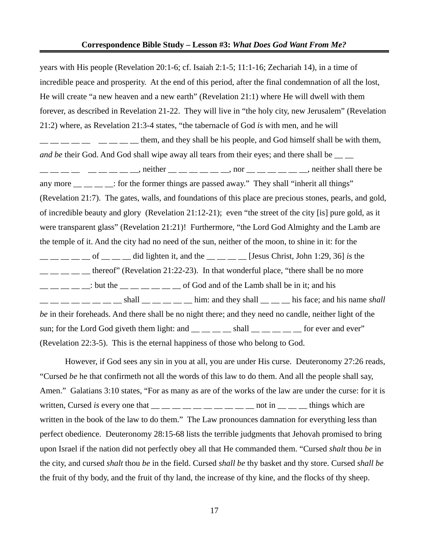#### **Correspondence Bible Study – Lesson #3:** *What Does God Want From Me?*

years with His people (Revelation 20:1-6; cf. Isaiah 2:1-5; 11:1-16; Zechariah 14), in a time of incredible peace and prosperity. At the end of this period, after the final condemnation of all the lost, He will create "a new heaven and a new earth" (Revelation 21:1) where He will dwell with them forever, as described in Revelation 21-22. They will live in "the holy city, new Jerusalem" (Revelation 21:2) where, as Revelation 21:3-4 states, "the tabernacle of God *is* with men, and he will  $\frac{1}{1}$   $\frac{1}{1}$   $\frac{1}{1}$   $\frac{1}{1}$   $\frac{1}{1}$   $\frac{1}{1}$  them, and they shall be his people, and God himself shall be with them, *and be* their God. And God shall wipe away all tears from their eyes; and there shall be  $\frac{1}{1}$   $\frac{1}{1}$   $\frac{1}{1}$   $\frac{1}{1}$   $\frac{1}{1}$   $\frac{1}{1}$   $\frac{1}{1}$   $\frac{1}{1}$   $\frac{1}{1}$   $\frac{1}{1}$   $\frac{1}{1}$   $\frac{1}{1}$   $\frac{1}{1}$   $\frac{1}{1}$   $\frac{1}{1}$   $\frac{1}{1}$   $\frac{1}{1}$   $\frac{1}{1}$   $\frac{1}{1}$   $\frac{1}{1}$   $\frac{1}{1}$   $\frac{1}{1}$  any more  $\frac{1}{\sqrt{2}}$   $\frac{1}{\sqrt{2}}$ : for the former things are passed away." They shall "inherit all things" (Revelation 21:7). The gates, walls, and foundations of this place are precious stones, pearls, and gold, of incredible beauty and glory (Revelation 21:12-21); even "the street of the city [is] pure gold, as it were transparent glass" (Revelation 21:21)! Furthermore, "the Lord God Almighty and the Lamb are the temple of it. And the city had no need of the sun, neither of the moon, to shine in it: for the \_\_ \_\_ \_\_ \_\_ \_\_ of \_\_ \_\_ \_\_ did lighten it, and the \_\_ \_\_ \_\_ \_\_ [Jesus Christ, John 1:29, 36] *is* the thereof" (Revelation 21:22-23). In that wonderful place, "there shall be no more  $\frac{1}{1}$   $\frac{1}{1}$   $\frac{1}{1}$   $\frac{1}{1}$   $\frac{1}{1}$  but the  $\frac{1}{1}$   $\frac{1}{1}$   $\frac{1}{1}$   $\frac{1}{1}$  of God and of the Lamb shall be in it; and his  $\frac{1}{1}$   $\frac{1}{1}$   $\frac{1}{1}$   $\frac{1}{1}$   $\frac{1}{1}$   $\frac{1}{1}$   $\frac{1}{1}$   $\frac{1}{1}$   $\frac{1}{1}$   $\frac{1}{1}$   $\frac{1}{1}$   $\frac{1}{1}$   $\frac{1}{1}$   $\frac{1}{1}$   $\frac{1}{1}$   $\frac{1}{1}$   $\frac{1}{1}$   $\frac{1}{1}$   $\frac{1}{1}$   $\frac{1}{1}$   $\frac{1}{1}$   $\frac{1}{1}$  *be* in their foreheads. And there shall be no night there; and they need no candle, neither light of the sun; for the Lord God giveth them light: and  $\_\_\_\_\_\_$ shall  $\_\_\_\_\_\_$ for ever and ever" (Revelation 22:3-5). This is the eternal happiness of those who belong to God.

However, if God sees any sin in you at all, you are under His curse. Deuteronomy 27:26 reads, "Cursed *be* he that confirmeth not all the words of this law to do them. And all the people shall say, Amen." Galatians 3:10 states, "For as many as are of the works of the law are under the curse: for it is written, Cursed *is* every one that  $\frac{1}{\sqrt{2}}$  \_ \_ \_ \_ \_ \_ \_ \_ \_ \_ not in \_ \_ \_ things which are written in the book of the law to do them." The Law pronounces damnation for everything less than perfect obedience. Deuteronomy 28:15-68 lists the terrible judgments that Jehovah promised to bring upon Israel if the nation did not perfectly obey all that He commanded them. "Cursed *shalt* thou *be* in the city, and cursed *shalt* thou *be* in the field. Cursed *shall be* thy basket and thy store. Cursed *shall be* the fruit of thy body, and the fruit of thy land, the increase of thy kine, and the flocks of thy sheep.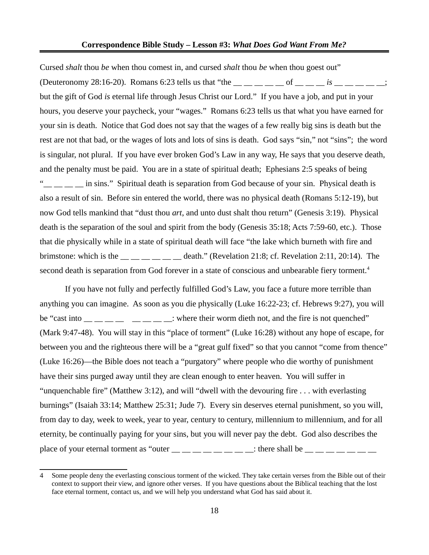Cursed *shalt* thou *be* when thou comest in, and cursed *shalt* thou *be* when thou goest out" (Deuteronomy 28:16-20). Romans 6:23 tells us that "the  $\_\_$   $\_\_$   $\_\_$  of  $\_\_$   $\_\_$  is  $\_\_$   $\_\_$   $\_\_$  ; but the gift of God *is* eternal life through Jesus Christ our Lord." If you have a job, and put in your hours, you deserve your paycheck, your "wages." Romans 6:23 tells us that what you have earned for your sin is death. Notice that God does not say that the wages of a few really big sins is death but the rest are not that bad, or the wages of lots and lots of sins is death. God says "sin," not "sins"; the word is singular, not plural. If you have ever broken God's Law in any way, He says that you deserve death, and the penalty must be paid. You are in a state of spiritual death; Ephesians 2:5 speaks of being " $\frac{1}{2}$   $\frac{1}{2}$  in sins." Spiritual death is separation from God because of your sin. Physical death is also a result of sin. Before sin entered the world, there was no physical death (Romans 5:12-19), but now God tells mankind that "dust thou *art*, and unto dust shalt thou return" (Genesis 3:19). Physical death is the separation of the soul and spirit from the body (Genesis 35:18; Acts 7:59-60, etc.). Those that die physically while in a state of spiritual death will face "the lake which burneth with fire and brimstone: which is the \_\_ \_\_ \_\_ \_\_ \_\_ \_\_ death." (Revelation 21:8; cf. Revelation 2:11, 20:14). The second death is separation from God forever in a state of conscious and unbearable fiery torment.<sup>[4](#page-17-0)</sup>

If you have not fully and perfectly fulfilled God's Law, you face a future more terrible than anything you can imagine. As soon as you die physically (Luke 16:22-23; cf. Hebrews 9:27), you will be "cast into  $\frac{1}{1}$   $\frac{1}{1}$   $\frac{1}{1}$   $\frac{1}{1}$   $\frac{1}{1}$   $\frac{1}{1}$   $\frac{1}{1}$   $\frac{1}{1}$   $\frac{1}{1}$  where their worm dieth not, and the fire is not quenched" (Mark 9:47-48). You will stay in this "place of torment" (Luke 16:28) without any hope of escape, for between you and the righteous there will be a "great gulf fixed" so that you cannot "come from thence" (Luke 16:26)—the Bible does not teach a "purgatory" where people who die worthy of punishment have their sins purged away until they are clean enough to enter heaven. You will suffer in "unquenchable fire" (Matthew 3:12), and will "dwell with the devouring fire . . . with everlasting burnings" (Isaiah 33:14; Matthew 25:31; Jude 7). Every sin deserves eternal punishment, so you will, from day to day, week to week, year to year, century to century, millennium to millennium, and for all eternity, be continually paying for your sins, but you will never pay the debt. God also describes the place of your eternal torment as "outer  $\underline{\hspace{1cm}}$   $\underline{\hspace{1cm}}$   $\underline{\hspace{1cm}}$   $\underline{\hspace{1cm}}$   $\underline{\hspace{1cm}}$   $\underline{\hspace{1cm}}$   $\underline{\hspace{1cm}}$   $\underline{\hspace{1cm}}$   $\overline{\hspace{1cm}}$   $\overline{\hspace{1cm}}$   $\underline{\hspace{1cm}}$   $\underline{\hspace{1cm}}$   $\underline{\hspace{1cm}}$   $\underline{\hspace{1cm}}$ 

<span id="page-17-0"></span><sup>4</sup> Some people deny the everlasting conscious torment of the wicked. They take certain verses from the Bible out of their context to support their view, and ignore other verses. If you have questions about the Biblical teaching that the lost face eternal torment, contact us, and we will help you understand what God has said about it.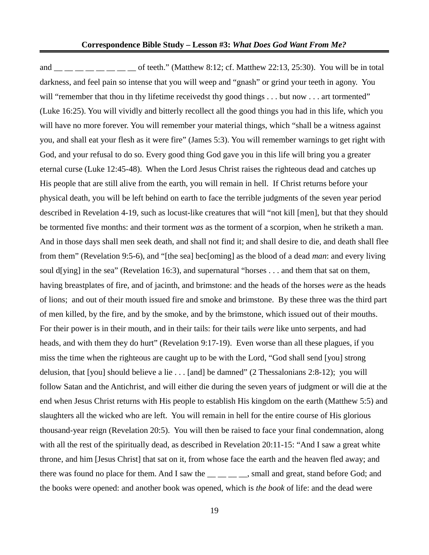and \_\_ \_\_ \_\_ \_\_ \_\_ \_\_ of teeth." (Matthew 8:12; cf. Matthew 22:13, 25:30). You will be in total darkness, and feel pain so intense that you will weep and "gnash" or grind your teeth in agony. You will "remember that thou in thy lifetime receivedst thy good things . . . but now . . . art tormented" (Luke 16:25). You will vividly and bitterly recollect all the good things you had in this life, which you will have no more forever. You will remember your material things, which "shall be a witness against you, and shall eat your flesh as it were fire" (James 5:3). You will remember warnings to get right with God, and your refusal to do so. Every good thing God gave you in this life will bring you a greater eternal curse (Luke 12:45-48). When the Lord Jesus Christ raises the righteous dead and catches up His people that are still alive from the earth, you will remain in hell. If Christ returns before your physical death, you will be left behind on earth to face the terrible judgments of the seven year period described in Revelation 4-19, such as locust-like creatures that will "not kill [men], but that they should be tormented five months: and their torment *was* as the torment of a scorpion, when he striketh a man. And in those days shall men seek death, and shall not find it; and shall desire to die, and death shall flee from them" (Revelation 9:5-6), and "[the sea] bec[oming] as the blood of a dead *man*: and every living soul d[ying] in the sea" (Revelation 16:3), and supernatural "horses . . . and them that sat on them, having breastplates of fire, and of jacinth, and brimstone: and the heads of the horses *were* as the heads of lions; and out of their mouth issued fire and smoke and brimstone. By these three was the third part of men killed, by the fire, and by the smoke, and by the brimstone, which issued out of their mouths. For their power is in their mouth, and in their tails: for their tails *were* like unto serpents, and had heads, and with them they do hurt" (Revelation 9:17-19). Even worse than all these plagues, if you miss the time when the righteous are caught up to be with the Lord, "God shall send [you] strong delusion, that [you] should believe a lie . . . [and] be damned" (2 Thessalonians 2:8-12); you will follow Satan and the Antichrist, and will either die during the seven years of judgment or will die at the end when Jesus Christ returns with His people to establish His kingdom on the earth (Matthew 5:5) and slaughters all the wicked who are left. You will remain in hell for the entire course of His glorious thousand-year reign (Revelation 20:5). You will then be raised to face your final condemnation, along with all the rest of the spiritually dead, as described in Revelation 20:11-15: "And I saw a great white throne, and him [Jesus Christ] that sat on it, from whose face the earth and the heaven fled away; and there was found no place for them. And I saw the \_\_ \_ \_ \_ \_ \_ small and great, stand before God; and the books were opened: and another book was opened, which is *the book* of life: and the dead were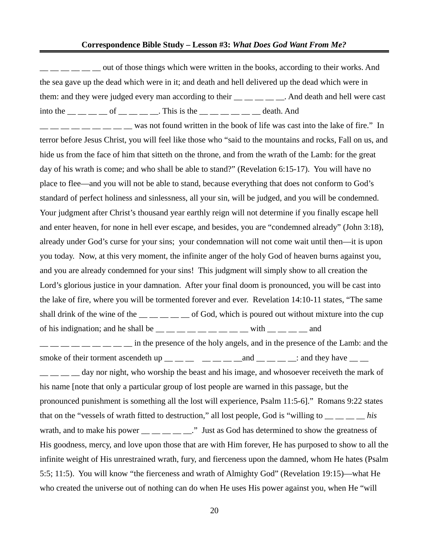$\frac{1}{1}$   $\frac{1}{1}$   $\frac{1}{1}$   $\frac{1}{1}$   $\frac{1}{1}$  out of those things which were written in the books, according to their works. And the sea gave up the dead which were in it; and death and hell delivered up the dead which were in them: and they were judged every man according to their . And death and hell were cast into the  $\frac{1}{1}$   $\frac{1}{1}$   $\frac{1}{1}$  of  $\frac{1}{1}$   $\frac{1}{1}$   $\frac{1}{1}$ . This is the  $\frac{1}{1}$   $\frac{1}{1}$   $\frac{1}{1}$   $\frac{1}{1}$   $\frac{1}{1}$   $\frac{1}{1}$   $\frac{1}{1}$   $\frac{1}{1}$   $\frac{1}{1}$   $\frac{1}{1}$   $\frac{1}{1}$   $\frac{1}{1}$   $\frac{1}{1}$   $\frac{1}{$  $\frac{1}{1-\frac{1}{1-\frac{1}{1-\frac{1}{1-\frac{1}{1-\frac{1}{1-\frac{1}{1-\frac{1}{1-\frac{1}{1-\frac{1}{1-\frac{1}{1-\frac{1}{1-\frac{1}{1-\frac{1}{1-\frac{1}{1-\frac{1}{1-\frac{1}{1-\frac{1}{1-\frac{1}{1-\frac{1}{1-\frac{1}{1-\frac{1}{1-\frac{1}{1-\frac{1}{1-\frac{1}{1-\frac{1}{1-\frac{1}{1-\frac{1}{1-\frac{1}{1-\frac{1}{1-\frac{1}{1-\frac{1}{1-\frac{1}{1-\frac{1}{1-\frac{1}{1-\frac{1}{1-\frac{1$ terror before Jesus Christ, you will feel like those who "said to the mountains and rocks, Fall on us, and hide us from the face of him that sitteth on the throne, and from the wrath of the Lamb: for the great day of his wrath is come; and who shall be able to stand?" (Revelation 6:15-17). You will have no place to flee—and you will not be able to stand, because everything that does not conform to God's standard of perfect holiness and sinlessness, all your sin, will be judged, and you will be condemned. Your judgment after Christ's thousand year earthly reign will not determine if you finally escape hell and enter heaven, for none in hell ever escape, and besides, you are "condemned already" (John 3:18), already under God's curse for your sins; your condemnation will not come wait until then—it is upon you today. Now, at this very moment, the infinite anger of the holy God of heaven burns against you, and you are already condemned for your sins! This judgment will simply show to all creation the Lord's glorious justice in your damnation. After your final doom is pronounced, you will be cast into the lake of fire, where you will be tormented forever and ever. Revelation 14:10-11 states, "The same shall drink of the wine of the  $\frac{m}{m}$  \_\_ \_ \_ \_ of God, which is poured out without mixture into the cup of his indignation; and he shall be  $\_\_$   $\_\_$   $\_\_$   $\_\_$   $\_\_$  with  $\_\_$   $\_\_$  and  $\frac{1}{1}$   $\frac{1}{1}$   $\frac{1}{1}$   $\frac{1}{1}$   $\frac{1}{1}$  in the presence of the holy angels, and in the presence of the Lamb: and the smoke of their torment ascendeth up  $\_\_\_\_\_\_\_\_\_$   $\_\_\_\_\_\_$  and  $\_\_\_\_\_\_\_$ : and they have  $\_\_\_\_\$  $\Box$   $\Box$   $\Box$  day nor night, who worship the beast and his image, and whosoever receiveth the mark of his name [note that only a particular group of lost people are warned in this passage, but the pronounced punishment is something all the lost will experience, Psalm 11:5-6]." Romans 9:22 states that on the "vessels of wrath fitted to destruction," all lost people, God is "willing to \_\_ \_\_ \_\_ \_\_ *his* wrath, and to make his power  $\frac{m}{m}$   $\frac{m}{m}$   $\frac{m}{m}$ . Just as God has determined to show the greatness of His goodness, mercy, and love upon those that are with Him forever, He has purposed to show to all the infinite weight of His unrestrained wrath, fury, and fierceness upon the damned, whom He hates (Psalm 5:5; 11:5). You will know "the fierceness and wrath of Almighty God" (Revelation 19:15)—what He who created the universe out of nothing can do when He uses His power against you, when He "will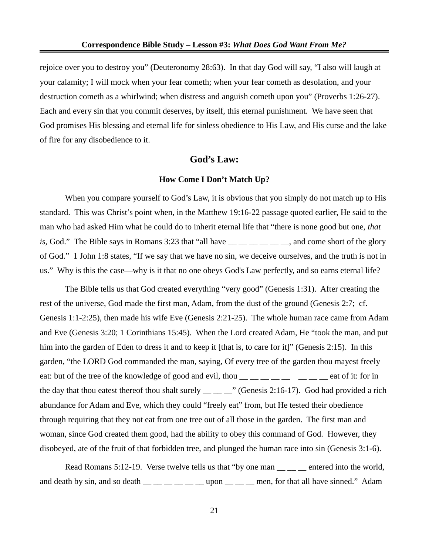rejoice over you to destroy you" (Deuteronomy 28:63). In that day God will say, "I also will laugh at your calamity; I will mock when your fear cometh; when your fear cometh as desolation, and your destruction cometh as a whirlwind; when distress and anguish cometh upon you" (Proverbs 1:26-27). Each and every sin that you commit deserves, by itself, this eternal punishment. We have seen that God promises His blessing and eternal life for sinless obedience to His Law, and His curse and the lake of fire for any disobedience to it.

## **God's Law:**

#### **How Come I Don't Match Up?**

When you compare yourself to God's Law, it is obvious that you simply do not match up to His standard. This was Christ's point when, in the Matthew 19:16-22 passage quoted earlier, He said to the man who had asked Him what he could do to inherit eternal life that "there is none good but one, *that is*, God." The Bible says in Romans 3:23 that "all have \_\_ \_ \_ \_ \_ \_ \_ \_, and come short of the glory of God." 1 John 1:8 states, "If we say that we have no sin, we deceive ourselves, and the truth is not in us." Why is this the case—why is it that no one obeys God's Law perfectly, and so earns eternal life?

The Bible tells us that God created everything "very good" (Genesis 1:31). After creating the rest of the universe, God made the first man, Adam, from the dust of the ground (Genesis 2:7; cf. Genesis 1:1-2:25), then made his wife Eve (Genesis 2:21-25). The whole human race came from Adam and Eve (Genesis 3:20; 1 Corinthians 15:45). When the Lord created Adam, He "took the man, and put him into the garden of Eden to dress it and to keep it [that is, to care for it]" (Genesis 2:15). In this garden, "the LORD God commanded the man, saying, Of every tree of the garden thou mayest freely eat: but of the tree of the knowledge of good and evil, thou  $\frac{1}{1}$   $\frac{1}{1}$   $\frac{1}{1}$   $\frac{1}{1}$   $\frac{1}{1}$   $\frac{1}{1}$   $\frac{1}{1}$   $\frac{1}{1}$   $\frac{1}{1}$  for in the day that thou eatest thereof thou shalt surely  $\_\_\_\_$ " (Genesis 2:16-17). God had provided a rich abundance for Adam and Eve, which they could "freely eat" from, but He tested their obedience through requiring that they not eat from one tree out of all those in the garden. The first man and woman, since God created them good, had the ability to obey this command of God. However, they disobeyed, ate of the fruit of that forbidden tree, and plunged the human race into sin (Genesis 3:1-6).

Read Romans 5:12-19. Verse twelve tells us that "by one man \_\_\_\_\_\_ entered into the world, and death by sin, and so death  $\_\_\_\_\_\_\_\_\_\_\$  upon  $\_\_\_\_\$ men, for that all have sinned." Adam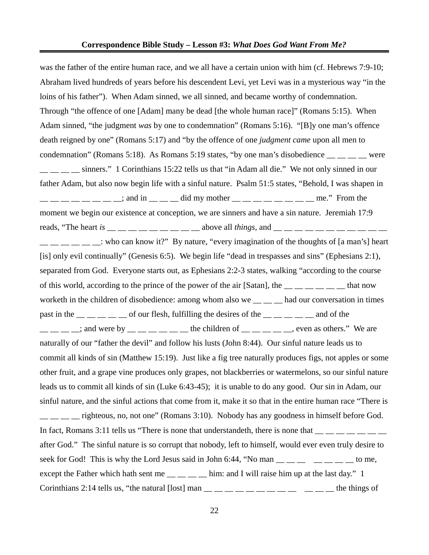was the father of the entire human race, and we all have a certain union with him (cf. Hebrews 7:9-10; Abraham lived hundreds of years before his descendent Levi, yet Levi was in a mysterious way "in the loins of his father"). When Adam sinned, we all sinned, and became worthy of condemnation. Through "the offence of one [Adam] many be dead [the whole human race]" (Romans 5:15). When Adam sinned, "the judgment *was* by one to condemnation" (Romans 5:16). "[B]y one man's offence death reigned by one" (Romans 5:17) and "by the offence of one *judgment came* upon all men to condemnation" (Romans 5:18). As Romans 5:19 states, "by one man's disobedience \_\_ \_\_ \_\_ \_\_ were  $\frac{1}{1}$  \_ \_ \_ \_ sinners." 1 Corinthians 15:22 tells us that "in Adam all die." We not only sinned in our father Adam, but also now begin life with a sinful nature. Psalm 51:5 states, "Behold, I was shapen in  $\frac{1}{1}$   $\frac{1}{1}$   $\frac{1}{1}$   $\frac{1}{1}$   $\frac{1}{1}$   $\frac{1}{1}$   $\frac{1}{1}$   $\frac{1}{1}$   $\frac{1}{1}$   $\frac{1}{1}$   $\frac{1}{1}$   $\frac{1}{1}$   $\frac{1}{1}$   $\frac{1}{1}$   $\frac{1}{1}$   $\frac{1}{1}$   $\frac{1}{1}$   $\frac{1}{1}$   $\frac{1}{1}$   $\frac{1}{1}$   $\frac{1}{1}$   $\frac{1}{1}$  moment we begin our existence at conception, we are sinners and have a sin nature. Jeremiah 17:9 reads, "The heart *is*  $\frac{1}{2}$  \_\_ \_\_ \_\_ \_\_ \_\_ \_\_ above all *things*, and \_\_ \_ \_ \_ \_ \_ \_ \_ \_ \_ \_ \_ : who can know it?" By nature, "every imagination of the thoughts of [a man's] heart [is] only evil continually" (Genesis 6:5). We begin life "dead in trespasses and sins" (Ephesians 2:1), separated from God. Everyone starts out, as Ephesians 2:2-3 states, walking "according to the course of this world, according to the prince of the power of the air [Satan], the  $\frac{m}{m}$   $\frac{m}{m}$   $\frac{m}{m}$  that now worketh in the children of disobedience: among whom also we  $\_\_\_\_$  had our conversation in times past in the  $\_\_\_\_\_\_\_\_\_$  of our flesh, fulfilling the desires of the  $\_\_\_\_\_\_\_\_$  and of the  $\_\_\_\_\_\_\_\_\_\_\_\_\_\_\_\_\_$ ; and were by  $\_\_\_\_\_\_\_\_\_\_\_\_$  the children of  $\_\_\_\_\_\_\_\_\_$ even as others." We are naturally of our "father the devil" and follow his lusts (John 8:44). Our sinful nature leads us to commit all kinds of sin (Matthew 15:19). Just like a fig tree naturally produces figs, not apples or some other fruit, and a grape vine produces only grapes, not blackberries or watermelons, so our sinful nature leads us to commit all kinds of sin (Luke 6:43-45); it is unable to do any good. Our sin in Adam, our sinful nature, and the sinful actions that come from it, make it so that in the entire human race "There is  $\frac{1}{1}$   $\frac{1}{1}$   $\frac{1}{1}$  righteous, no, not one" (Romans 3:10). Nobody has any goodness in himself before God. In fact, Romans 3:11 tells us "There is none that understandeth, there is none that  $\frac{1}{1-\frac{1}{1-\frac{1}{1-\frac{1}{1-\frac{1}{1-\frac{1}{1-\frac{1}{1-\frac{1}{1-\frac{1}{1-\frac{1}{1-\frac{1}{1-\frac{1}{1-\frac{1}{1-\frac{1}{1-\frac{1}{1-\frac{1}{1-\frac{1}{1-\frac{1}{1-\frac{1}{1-\frac{1}{1-\frac{1}{1-\frac{1}{1-\frac{1$ after God." The sinful nature is so corrupt that nobody, left to himself, would ever even truly desire to seek for God! This is why the Lord Jesus said in John 6:44, "No man  $\_\_\_\_\_$   $\_\_\_\_$   $\_\_\_$ to me, except the Father which hath sent me  $\frac{1}{\sqrt{2}}$  =  $\frac{1}{\sqrt{2}}$  him: and I will raise him up at the last day." 1 Corinthians 2:14 tells us, "the natural [lost] man  $\_\_\_\_\_\_\_ \_\_ \_\_ \_ \_ \_ \_$   $\_\_$  the things of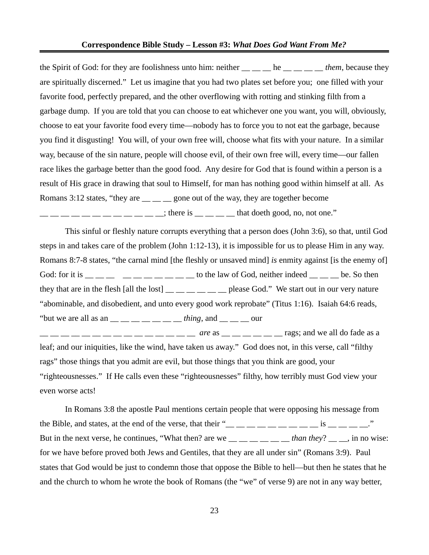#### **Correspondence Bible Study – Lesson #3:** *What Does God Want From Me?*

the Spirit of God: for they are foolishness unto him: neither \_\_ \_\_ he \_\_ \_ \_ *them*, because they are spiritually discerned." Let us imagine that you had two plates set before you; one filled with your favorite food, perfectly prepared, and the other overflowing with rotting and stinking filth from a garbage dump. If you are told that you can choose to eat whichever one you want, you will, obviously, choose to eat your favorite food every time—nobody has to force you to not eat the garbage, because you find it disgusting! You will, of your own free will, choose what fits with your nature. In a similar way, because of the sin nature, people will choose evil, of their own free will, every time—our fallen race likes the garbage better than the good food. Any desire for God that is found within a person is a result of His grace in drawing that soul to Himself, for man has nothing good within himself at all. As Romans 3:12 states, "they are  $\frac{1}{\sqrt{2}}$  gone out of the way, they are together become  $\frac{1}{1}$   $\frac{1}{1}$   $\frac{1}{1}$   $\frac{1}{1}$   $\frac{1}{1}$   $\frac{1}{1}$   $\frac{1}{1}$   $\frac{1}{1}$   $\frac{1}{1}$   $\frac{1}{1}$   $\frac{1}{1}$   $\frac{1}{1}$   $\frac{1}{1}$   $\frac{1}{1}$   $\frac{1}{1}$   $\frac{1}{1}$   $\frac{1}{1}$   $\frac{1}{1}$   $\frac{1}{1}$   $\frac{1}{1}$   $\frac{1}{1}$   $\frac{1}{1}$ 

This sinful or fleshly nature corrupts everything that a person does (John 3:6), so that, until God steps in and takes care of the problem (John 1:12-13), it is impossible for us to please Him in any way. Romans 8:7-8 states, "the carnal mind [the fleshly or unsaved mind] *is* enmity against [is the enemy of] God: for it is  $\_\_\_\_\_\_\_\_\_\_\_\_\_\_\_\_\_\_\_$   $\_\_\_\_\_\_\_$ to the law of God, neither indeed  $\_\_\_\_\_\_$ be. So then they that are in the flesh [all the lost]  $\qquad \qquad$  \_\_ \_\_ \_\_ \_\_ please God." We start out in our very nature "abominable, and disobedient, and unto every good work reprobate" (Titus 1:16). Isaiah 64:6 reads, "but we are all as an  $\_\_\_\_\_\_\_\_\_\_$  thing, and  $\_\_\_\_\_\_$  $\frac{1}{1}$   $\frac{1}{1}$   $\frac{1}{2}$   $\frac{1}{1}$   $\frac{1}{2}$   $\frac{1}{2}$   $\frac{1}{2}$   $\frac{1}{2}$   $\frac{1}{2}$   $\frac{1}{2}$   $\frac{1}{2}$   $\frac{1}{2}$   $\frac{1}{2}$   $\frac{1}{2}$   $\frac{1}{2}$   $\frac{1}{2}$   $\frac{1}{2}$   $\frac{1}{2}$   $\frac{1}{2}$   $\frac{1}{2}$   $\frac{1}{2}$   $\frac{1}{2}$  leaf; and our iniquities, like the wind, have taken us away." God does not, in this verse, call "filthy rags" those things that you admit are evil, but those things that you think are good, your "righteousnesses." If He calls even these "righteousnesses" filthy, how terribly must God view your even worse acts!

In Romans 3:8 the apostle Paul mentions certain people that were opposing his message from the Bible, and states, at the end of the verse, that their " $\frac{1}{1}$   $\frac{1}{1}$   $\frac{1}{1}$   $\frac{1}{1}$   $\frac{1}{1}$   $\frac{1}{1}$   $\frac{1}{1}$   $\frac{1}{1}$   $\frac{1}{1}$   $\frac{1}{1}$   $\frac{1}{1}$   $\frac{1}{1}$   $\frac{1}{1}$   $\frac{1}{1}$   $\frac{1}{1}$   $\frac{1}{1}$  But in the next verse, he continues, "What then? are we  $\frac{1}{1}$  \_\_ \_\_ \_\_ \_\_ \_\_ *than they*? \_\_ \_, in no wise: for we have before proved both Jews and Gentiles, that they are all under sin" (Romans 3:9). Paul states that God would be just to condemn those that oppose the Bible to hell—but then he states that he and the church to whom he wrote the book of Romans (the "we" of verse 9) are not in any way better,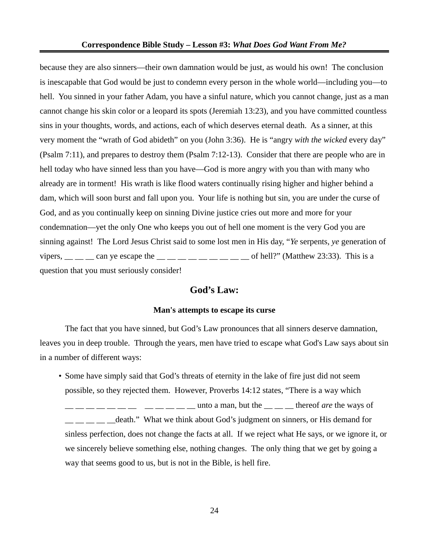because they are also sinners—their own damnation would be just, as would his own! The conclusion is inescapable that God would be just to condemn every person in the whole world—including you—to hell. You sinned in your father Adam, you have a sinful nature, which you cannot change, just as a man cannot change his skin color or a leopard its spots (Jeremiah 13:23), and you have committed countless sins in your thoughts, words, and actions, each of which deserves eternal death. As a sinner, at this very moment the "wrath of God abideth" on you (John 3:36). He is "angry *with the wicked* every day" (Psalm 7:11), and prepares to destroy them (Psalm 7:12-13). Consider that there are people who are in hell today who have sinned less than you have—God is more angry with you than with many who already are in torment! His wrath is like flood waters continually rising higher and higher behind a dam, which will soon burst and fall upon you. Your life is nothing but sin, you are under the curse of God, and as you continually keep on sinning Divine justice cries out more and more for your condemnation—yet the only One who keeps you out of hell one moment is the very God you are sinning against! The Lord Jesus Christ said to some lost men in His day, "*Ye* serpents, *ye* generation of vipers,  $\_\_$   $\_\_$  can ye escape the  $\_\_$   $\_\_$   $\_\_$   $\_\_$   $\_\_$  of hell?" (Matthew 23:33). This is a question that you must seriously consider!

## **God's Law:**

#### **Man's attempts to escape its curse**

The fact that you have sinned, but God's Law pronounces that all sinners deserve damnation, leaves you in deep trouble. Through the years, men have tried to escape what God's Law says about sin in a number of different ways:

• Some have simply said that God's threats of eternity in the lake of fire just did not seem possible, so they rejected them. However, Proverbs 14:12 states, "There is a way which  $\frac{1}{2}$  \_ \_ \_ \_ unto a man, but the \_ \_ \_ \_ thereof *are* the ways of death." What we think about God's judgment on sinners, or His demand for sinless perfection, does not change the facts at all. If we reject what He says, or we ignore it, or we sincerely believe something else, nothing changes. The only thing that we get by going a way that seems good to us, but is not in the Bible, is hell fire.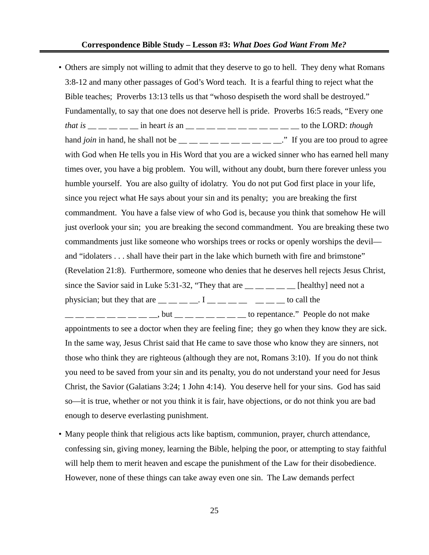• Others are simply not willing to admit that they deserve to go to hell. They deny what Romans 3:8-12 and many other passages of God's Word teach. It is a fearful thing to reject what the Bible teaches; Proverbs 13:13 tells us that "whoso despiseth the word shall be destroyed." Fundamentally, to say that one does not deserve hell is pride. Proverbs 16:5 reads, "Every one *that is* \_\_ \_ \_ \_ \_ in heart *is* an \_ \_ \_ \_ \_ \_ \_ \_ \_ \_ \_ \_ \_ \_ \_ to the LORD: *though* hand *join* in hand, he shall not be  $\frac{m}{m}$   $\frac{m}{m}$   $\frac{m}{m}$   $\frac{m}{m}$   $\frac{m}{m}$   $\frac{m}{m}$ . If you are too proud to agree with God when He tells you in His Word that you are a wicked sinner who has earned hell many times over, you have a big problem. You will, without any doubt, burn there forever unless you humble yourself. You are also guilty of idolatry. You do not put God first place in your life, since you reject what He says about your sin and its penalty; you are breaking the first commandment. You have a false view of who God is, because you think that somehow He will just overlook your sin; you are breaking the second commandment. You are breaking these two commandments just like someone who worships trees or rocks or openly worships the devil and "idolaters . . . shall have their part in the lake which burneth with fire and brimstone" (Revelation 21:8). Furthermore, someone who denies that he deserves hell rejects Jesus Christ, since the Savior said in Luke 5:31-32, "They that are  $\frac{1}{\sqrt{2}}$  =  $\frac{1}{\sqrt{2}}$  [healthy] need not a physician; but they that are  $\frac{1}{1}$   $\frac{1}{1}$   $\frac{1}{1}$   $\frac{1}{1}$   $\frac{1}{1}$   $\frac{1}{1}$   $\frac{1}{1}$   $\frac{1}{1}$   $\frac{1}{1}$  to call the  $\frac{1}{1}$   $\frac{1}{1}$   $\frac{1}{1}$   $\frac{1}{1}$   $\frac{1}{1}$   $\frac{1}{1}$   $\frac{1}{1}$   $\frac{1}{1}$   $\frac{1}{1}$   $\frac{1}{1}$   $\frac{1}{1}$   $\frac{1}{1}$   $\frac{1}{1}$   $\frac{1}{1}$   $\frac{1}{1}$   $\frac{1}{1}$   $\frac{1}{1}$   $\frac{1}{1}$   $\frac{1}{1}$   $\frac{1}{1}$   $\frac{1}{1}$   $\frac{1}{1}$  appointments to see a doctor when they are feeling fine; they go when they know they are sick. In the same way, Jesus Christ said that He came to save those who know they are sinners, not those who think they are righteous (although they are not, Romans 3:10). If you do not think you need to be saved from your sin and its penalty, you do not understand your need for Jesus

Christ, the Savior (Galatians 3:24; 1 John 4:14). You deserve hell for your sins. God has said so—it is true, whether or not you think it is fair, have objections, or do not think you are bad enough to deserve everlasting punishment.

• Many people think that religious acts like baptism, communion, prayer, church attendance, confessing sin, giving money, learning the Bible, helping the poor, or attempting to stay faithful will help them to merit heaven and escape the punishment of the Law for their disobedience. However, none of these things can take away even one sin. The Law demands perfect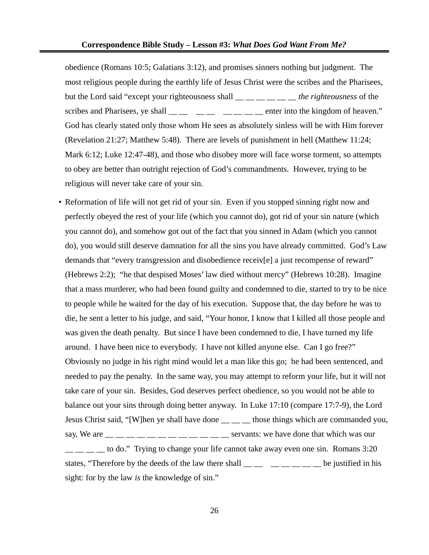obedience (Romans 10:5; Galatians 3:12), and promises sinners nothing but judgment. The most religious people during the earthly life of Jesus Christ were the scribes and the Pharisees, but the Lord said "except your righteousness shall \_\_ \_\_ \_\_ \_\_ \_\_ \_\_ *the righteousness* of the scribes and Pharisees, ye shall  $\_\_\_\_\_\_\_\_\_\_\_\_\_\_\_\_\_\$ enter into the kingdom of heaven." God has clearly stated only those whom He sees as absolutely sinless will be with Him forever (Revelation 21:27; Matthew 5:48). There are levels of punishment in hell (Matthew 11:24; Mark 6:12; Luke 12:47-48), and those who disobey more will face worse torment, so attempts to obey are better than outright rejection of God's commandments. However, trying to be religious will never take care of your sin.

- Reformation of life will not get rid of your sin. Even if you stopped sinning right now and perfectly obeyed the rest of your life (which you cannot do), got rid of your sin nature (which you cannot do), and somehow got out of the fact that you sinned in Adam (which you cannot do), you would still deserve damnation for all the sins you have already committed. God's Law demands that "every transgression and disobedience receiv[e] a just recompense of reward" (Hebrews 2:2); "he that despised Moses' law died without mercy" (Hebrews 10:28). Imagine that a mass murderer, who had been found guilty and condemned to die, started to try to be nice to people while he waited for the day of his execution. Suppose that, the day before he was to die, he sent a letter to his judge, and said, "Your honor, I know that I killed all those people and was given the death penalty. But since I have been condemned to die, I have turned my life around. I have been nice to everybody. I have not killed anyone else. Can I go free?" Obviously no judge in his right mind would let a man like this go; he had been sentenced, and needed to pay the penalty. In the same way, you may attempt to reform your life, but it will not take care of your sin. Besides, God deserves perfect obedience, so you would not be able to balance out your sins through doing better anyway. In Luke 17:10 (compare 17:7-9), the Lord Jesus Christ said, "[W]hen ye shall have done  $\_\_\_\_$  those things which are commanded you, say, We are  $\frac{1}{1}$   $\frac{1}{1}$   $\frac{1}{1}$   $\frac{1}{1}$   $\frac{1}{1}$   $\frac{1}{1}$   $\frac{1}{1}$   $\frac{1}{1}$   $\frac{1}{1}$   $\frac{1}{1}$   $\frac{1}{1}$   $\frac{1}{1}$   $\frac{1}{1}$   $\frac{1}{1}$   $\frac{1}{1}$   $\frac{1}{1}$   $\frac{1}{1}$   $\frac{1}{1}$   $\frac{1}{1}$   $\frac{1}{1}$   $\frac{1}{1}$ to do." Trying to change your life cannot take away even one sin. Romans 3:20 states, "Therefore by the deeds of the law there shall  $\_\_ \_\_ \_\_ \_\_ \_\_$  be justified in his
	- sight: for by the law *is* the knowledge of sin."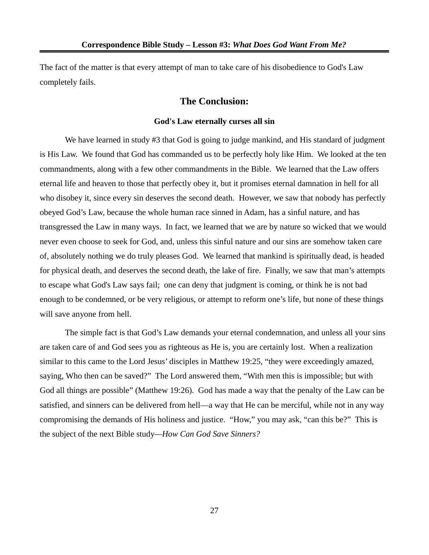The fact of the matter is that every attempt of man to take care of his disobedience to God's Law completely fails.

## **The Conclusion:**

#### **God's Law eternally curses all sin**

We have learned in study #3 that God is going to judge mankind, and His standard of judgment is His Law. We found that God has commanded us to be perfectly holy like Him. We looked at the ten commandments, along with a few other commandments in the Bible. We learned that the Law offers eternal life and heaven to those that perfectly obey it, but it promises eternal damnation in hell for all who disobey it, since every sin deserves the second death. However, we saw that nobody has perfectly obeyed God's Law, because the whole human race sinned in Adam, has a sinful nature, and has transgressed the Law in many ways. In fact, we learned that we are by nature so wicked that we would never even choose to seek for God, and, unless this sinful nature and our sins are somehow taken care of, absolutely nothing we do truly pleases God. We learned that mankind is spiritually dead, is headed for physical death, and deserves the second death, the lake of fire. Finally, we saw that man's attempts to escape what God's Law says fail; one can deny that judgment is coming, or think he is not bad enough to be condemned, or be very religious, or attempt to reform one's life, but none of these things will save anyone from hell.

The simple fact is that God's Law demands your eternal condemnation, and unless all your sins are taken care of and God sees you as righteous as He is, you are certainly lost. When a realization similar to this came to the Lord Jesus' disciples in Matthew 19:25, "they were exceedingly amazed, saying, Who then can be saved?" The Lord answered them, "With men this is impossible; but with God all things are possible" (Matthew 19:26). God has made a way that the penalty of the Law can be satisfied, and sinners can be delivered from hell—a way that He can be merciful, while not in any way compromising the demands of His holiness and justice. "How," you may ask, "can this be?" This is the subject of the next Bible study*—How Can God Save Sinners?*